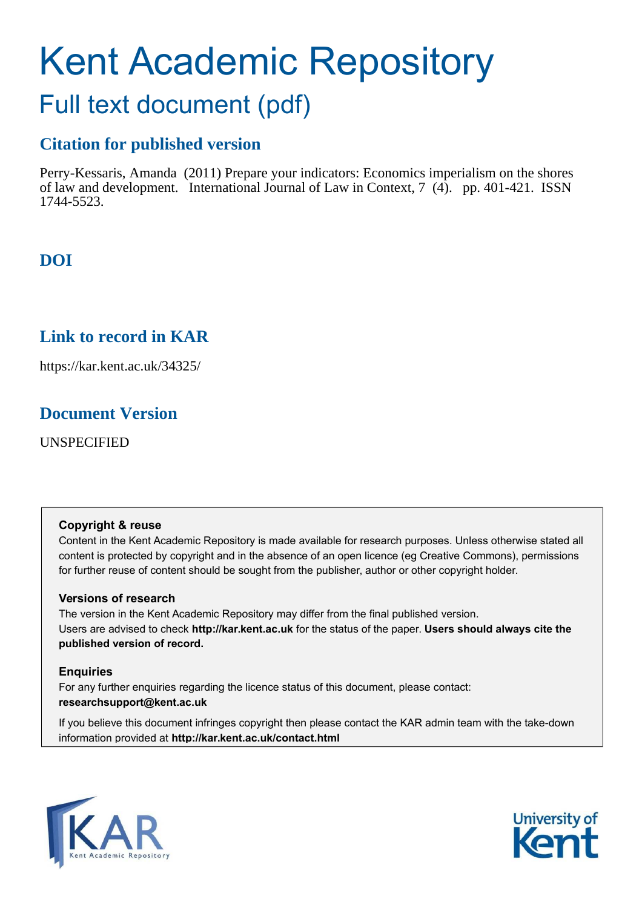# Kent Academic Repository Full text document (pdf)

# **Citation for published version**

Perry-Kessaris, Amanda (2011) Prepare your indicators: Economics imperialism on the shores of law and development. International Journal of Law in Context, 7 (4). pp. 401-421. ISSN 1744-5523.

# **DOI**

# **Link to record in KAR**

https://kar.kent.ac.uk/34325/

# **Document Version**

UNSPECIFIED

## **Copyright & reuse**

Content in the Kent Academic Repository is made available for research purposes. Unless otherwise stated all content is protected by copyright and in the absence of an open licence (eg Creative Commons), permissions for further reuse of content should be sought from the publisher, author or other copyright holder.

## **Versions of research**

The version in the Kent Academic Repository may differ from the final published version. Users are advised to check **http://kar.kent.ac.uk** for the status of the paper. **Users should always cite the published version of record.**

## **Enquiries**

For any further enquiries regarding the licence status of this document, please contact: **researchsupport@kent.ac.uk**

If you believe this document infringes copyright then please contact the KAR admin team with the take-down information provided at **http://kar.kent.ac.uk/contact.html**



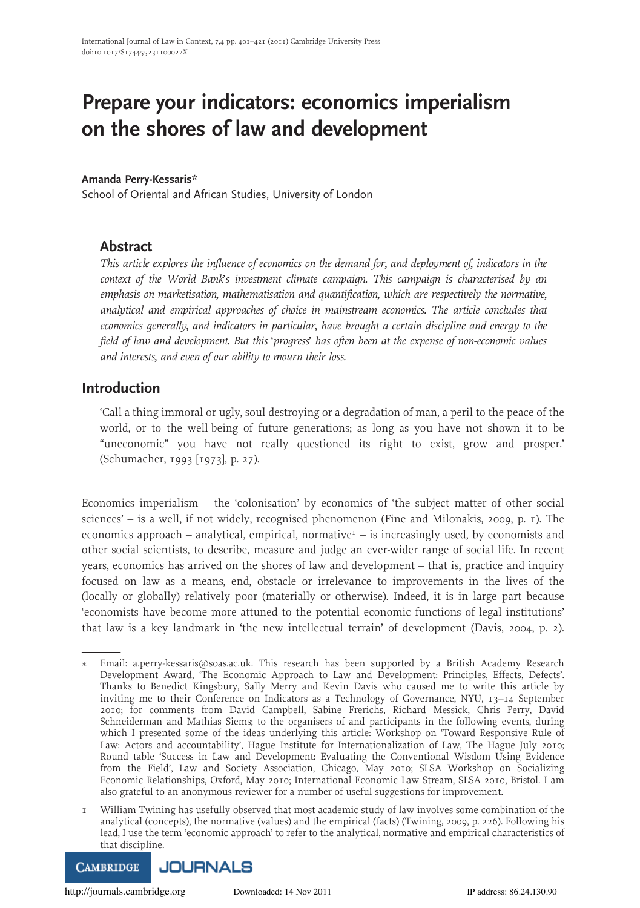# Prepare your indicators: economics imperialism on the shores of law and development

#### Amanda Perry-Kessaris\*

School of Oriental and African Studies, University of London

#### Abstract

This article explores the influence of economics on the demand for, and deployment of, indicators in the context of the World Bank's investment climate campaign. This campaign is characterised by an emphasis on marketisation, mathematisation and quantification, which are respectively the normative, analytical and empirical approaches of choice in mainstream economics. The article concludes that economics generally, and indicators in particular, have brought a certain discipline and energy to the field of law and development. But this 'progress' has often been at the expense of non-economic values and interests, and even of our ability to mourn their loss.

#### Introduction

'Call a thing immoral or ugly, soul-destroying or a degradation of man, a peril to the peace of the world, or to the well-being of future generations; as long as you have not shown it to be "uneconomic" you have not really questioned its right to exist, grow and prosper.' (Schumacher, 1993 [1973], p. 27).

Economics imperialism – the 'colonisation' by economics of 'the subject matter of other social sciences' – is a well, if not widely, recognised phenomenon (Fine and Milonakis, 2009, p. 1). The economics approach – analytical, empirical, normative<sup> $I -$ </sup> is increasingly used, by economists and other social scientists, to describe, measure and judge an ever-wider range of social life. In recent years, economics has arrived on the shores of law and development – that is, practice and inquiry focused on law as a means, end, obstacle or irrelevance to improvements in the lives of the (locally or globally) relatively poor (materially or otherwise). Indeed, it is in large part because 'economists have become more attuned to the potential economic functions of legal institutions' that law is a key landmark in 'the new intellectual terrain' of development (Davis, 2004, p. 2).

<sup>1</sup> William Twining has usefully observed that most academic study of law involves some combination of the analytical (concepts), the normative (values) and the empirical (facts) (Twining, 2009, p. 226). Following his lead, I use the term 'economic approach' to refer to the analytical, normative and empirical characteristics of that discipline.



<sup>\*</sup> Email: a.perry-kessaris@soas.ac.uk. This research has been supported by a British Academy Research Development Award, 'The Economic Approach to Law and Development: Principles, Effects, Defects'. Thanks to Benedict Kingsbury, Sally Merry and Kevin Davis who caused me to write this article by inviting me to their Conference on Indicators as a Technology of Governance, NYU, 13–14 September 2010; for comments from David Campbell, Sabine Frerichs, Richard Messick, Chris Perry, David Schneiderman and Mathias Siems; to the organisers of and participants in the following events, during which I presented some of the ideas underlying this article: Workshop on 'Toward Responsive Rule of Law: Actors and accountability', Hague Institute for Internationalization of Law, The Hague July 2010; Round table 'Success in Law and Development: Evaluating the Conventional Wisdom Using Evidence from the Field', Law and Society Association, Chicago, May 2010; SLSA Workshop on Socializing Economic Relationships, Oxford, May 2010; International Economic Law Stream, SLSA 2010, Bristol. I am also grateful to an anonymous reviewer for a number of useful suggestions for improvement.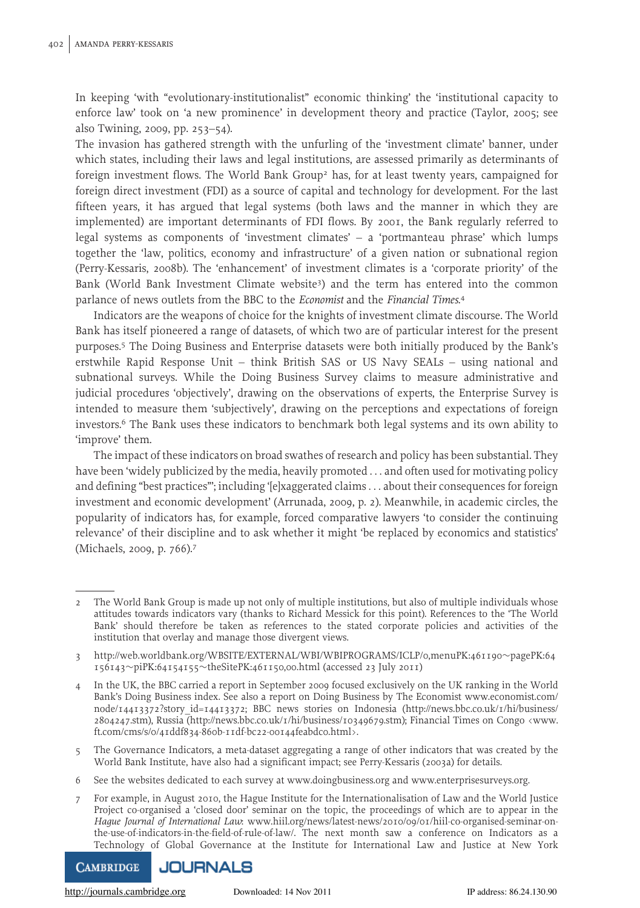In keeping 'with "evolutionary-institutionalist" economic thinking' the 'institutional capacity to enforce law' took on 'a new prominence' in development theory and practice (Taylor, 2005; see also Twining, 2009, pp. 253–54).

The invasion has gathered strength with the unfurling of the 'investment climate' banner, under which states, including their laws and legal institutions, are assessed primarily as determinants of foreign investment flows. The World Bank Group<sup>2</sup> has, for at least twenty years, campaigned for foreign direct investment (FDI) as a source of capital and technology for development. For the last fifteen years, it has argued that legal systems (both laws and the manner in which they are implemented) are important determinants of FDI flows. By 2001, the Bank regularly referred to legal systems as components of 'investment climates' – a 'portmanteau phrase' which lumps together the 'law, politics, economy and infrastructure' of a given nation or subnational region (Perry-Kessaris, 2008b). The 'enhancement' of investment climates is a 'corporate priority' of the Bank (World Bank Investment Climate website<sup>3</sup> ) and the term has entered into the common parlance of news outlets from the BBC to the *Economist* and the Financial Times.<sup>4</sup>

Indicators are the weapons of choice for the knights of investment climate discourse. The World Bank has itself pioneered a range of datasets, of which two are of particular interest for the present purposes.<sup>5</sup> The Doing Business and Enterprise datasets were both initially produced by the Bank's erstwhile Rapid Response Unit – think British SAS or US Navy SEALs – using national and subnational surveys. While the Doing Business Survey claims to measure administrative and judicial procedures 'objectively', drawing on the observations of experts, the Enterprise Survey is intended to measure them 'subjectively', drawing on the perceptions and expectations of foreign investors.<sup>6</sup> The Bank uses these indicators to benchmark both legal systems and its own ability to 'improve' them.

The impact of these indicators on broad swathes of research and policy has been substantial. They have been 'widely publicized by the media, heavily promoted ... and often used for motivating policy and defining "best practices"'; including '[e]xaggerated claims . . . about their consequences for foreign investment and economic development' (Arrunada, 2009, p. 2). Meanwhile, in academic circles, the popularity of indicators has, for example, forced comparative lawyers 'to consider the continuing relevance' of their discipline and to ask whether it might 'be replaced by economics and statistics' (Michaels, 2009, p. 766).<sup>7</sup>

- 5 The Governance Indicators, a meta-dataset aggregating a range of other indicators that was created by the World Bank Institute, have also had a significant impact; see Perry-Kessaris (2003a) for details.
- 6 See the websites dedicated to each survey at www.doingbusiness.org and www.enterprisesurveys.org.
- 7 For example, in August 2010, the Hague Institute for the Internationalisation of Law and the World Justice Project co-organised a 'closed door' seminar on the topic, the proceedings of which are to appear in the Hague Journal of International Law: www.hiil.org/news/latest-news/2010/09/01/hiil-co-organised-seminar-onthe-use-of-indicators-in-the-field-of-rule-of-law/. The next month saw a conference on Indicators as a Technology of Global Governance at the Institute for International Law and Justice at New York



<sup>2</sup> The World Bank Group is made up not only of multiple institutions, but also of multiple individuals whose attitudes towards indicators vary (thanks to Richard Messick for this point). References to the 'The World Bank' should therefore be taken as references to the stated corporate policies and activities of the institution that overlay and manage those divergent views.

<sup>3</sup> http://web.worldbank.org/WBSITE/EXTERNAL/WBI/WBIPROGRAMS/ICLP/0,menuPK:461190≏pagePK:64 156143≏piPK:64154155≏theSitePK:461150,00.html (accessed 23 July 2011)

<sup>4</sup> In the UK, the BBC carried a report in September 2009 focused exclusively on the UK ranking in the World Bank's Doing Business index. See also a report on Doing Business by The Economist www.economist.com/ node/14413372?story\_id=14413372; BBC news stories on Indonesia (http://news.bbc.co.uk/1/hi/business/ 2804247.stm), Russia (http://news.bbc.co.uk/1/hi/business/10349679.stm); Financial Times on Congo <www. ft.com/cms/s/0/41ddf834-860b-11df-bc22-00144feabdc0.html>.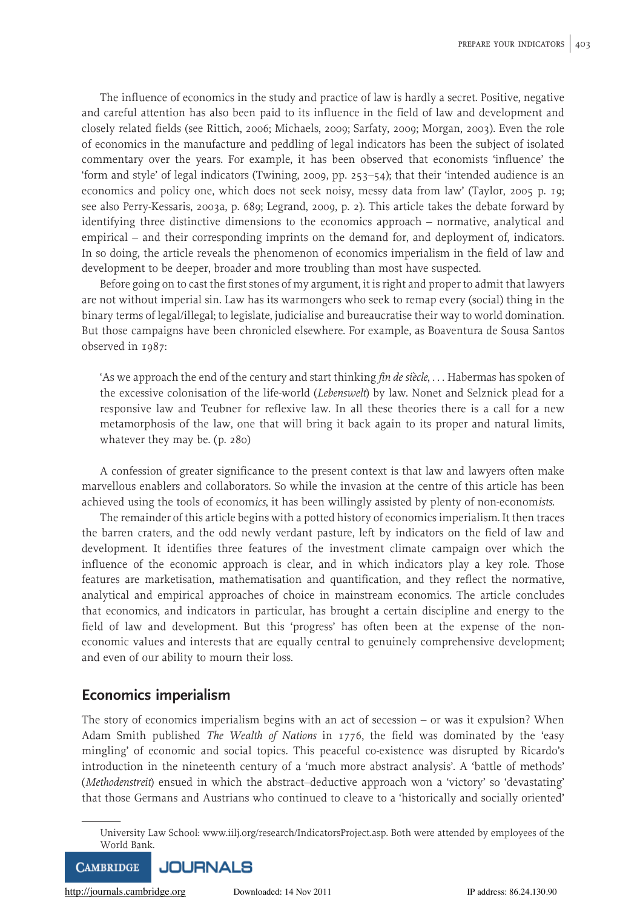The influence of economics in the study and practice of law is hardly a secret. Positive, negative and careful attention has also been paid to its influence in the field of law and development and closely related fields (see Rittich, 2006; Michaels, 2009; Sarfaty, 2009; Morgan, 2003). Even the role of economics in the manufacture and peddling of legal indicators has been the subject of isolated commentary over the years. For example, it has been observed that economists 'influence' the 'form and style' of legal indicators (Twining, 2009, pp. 253–54); that their 'intended audience is an economics and policy one, which does not seek noisy, messy data from law' (Taylor, 2005 p. 19; see also Perry-Kessaris, 2003a, p. 689; Legrand, 2009, p. 2). This article takes the debate forward by identifying three distinctive dimensions to the economics approach – normative, analytical and empirical – and their corresponding imprints on the demand for, and deployment of, indicators. In so doing, the article reveals the phenomenon of economics imperialism in the field of law and development to be deeper, broader and more troubling than most have suspected.

Before going on to cast the first stones of my argument, it is right and proper to admit that lawyers are not without imperial sin. Law has its warmongers who seek to remap every (social) thing in the binary terms of legal/illegal; to legislate, judicialise and bureaucratise their way to world domination. But those campaigns have been chronicled elsewhere. For example, as Boaventura de Sousa Santos observed in 1987:

'As we approach the end of the century and start thinking fin de siècle, ... Habermas has spoken of the excessive colonisation of the life-world (Lebenswelt) by law. Nonet and Selznick plead for a responsive law and Teubner for reflexive law. In all these theories there is a call for a new metamorphosis of the law, one that will bring it back again to its proper and natural limits, whatever they may be. (p. 280)

A confession of greater significance to the present context is that law and lawyers often make marvellous enablers and collaborators. So while the invasion at the centre of this article has been achieved using the tools of economics, it has been willingly assisted by plenty of non-economists.

The remainder of this article begins with a potted history of economics imperialism. It then traces the barren craters, and the odd newly verdant pasture, left by indicators on the field of law and development. It identifies three features of the investment climate campaign over which the influence of the economic approach is clear, and in which indicators play a key role. Those features are marketisation, mathematisation and quantification, and they reflect the normative, analytical and empirical approaches of choice in mainstream economics. The article concludes that economics, and indicators in particular, has brought a certain discipline and energy to the field of law and development. But this 'progress' has often been at the expense of the noneconomic values and interests that are equally central to genuinely comprehensive development; and even of our ability to mourn their loss.

#### Economics imperialism

The story of economics imperialism begins with an act of secession – or was it expulsion? When Adam Smith published The Wealth of Nations in 1776, the field was dominated by the 'easy mingling' of economic and social topics. This peaceful co-existence was disrupted by Ricardo's introduction in the nineteenth century of a 'much more abstract analysis'. A 'battle of methods' (Methodenstreit) ensued in which the abstract–deductive approach won a 'victory' so 'devastating' that those Germans and Austrians who continued to cleave to a 'historically and socially oriented'

#### **CAMBRIDGE JOURNALS**

University Law School: www.iilj.org/research/IndicatorsProject.asp. Both were attended by employees of the World Bank.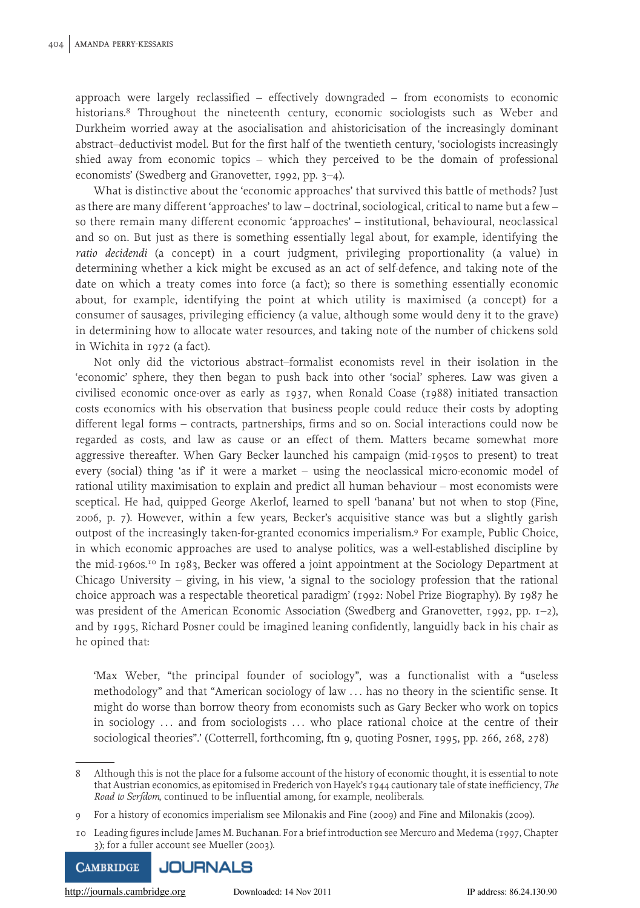approach were largely reclassified – effectively downgraded – from economists to economic historians.<sup>8</sup> Throughout the nineteenth century, economic sociologists such as Weber and Durkheim worried away at the asocialisation and ahistoricisation of the increasingly dominant abstract–deductivist model. But for the first half of the twentieth century, 'sociologists increasingly shied away from economic topics – which they perceived to be the domain of professional economists' (Swedberg and Granovetter, 1992, pp. 3–4).

What is distinctive about the 'economic approaches' that survived this battle of methods? Just as there are many different 'approaches' to law – doctrinal, sociological, critical to name but a few – so there remain many different economic 'approaches' – institutional, behavioural, neoclassical and so on. But just as there is something essentially legal about, for example, identifying the ratio decidendi (a concept) in a court judgment, privileging proportionality (a value) in determining whether a kick might be excused as an act of self-defence, and taking note of the date on which a treaty comes into force (a fact); so there is something essentially economic about, for example, identifying the point at which utility is maximised (a concept) for a consumer of sausages, privileging efficiency (a value, although some would deny it to the grave) in determining how to allocate water resources, and taking note of the number of chickens sold in Wichita in 1972 (a fact).

Not only did the victorious abstract–formalist economists revel in their isolation in the 'economic' sphere, they then began to push back into other 'social' spheres. Law was given a civilised economic once-over as early as 1937, when Ronald Coase (1988) initiated transaction costs economics with his observation that business people could reduce their costs by adopting different legal forms – contracts, partnerships, firms and so on. Social interactions could now be regarded as costs, and law as cause or an effect of them. Matters became somewhat more aggressive thereafter. When Gary Becker launched his campaign (mid-1950s to present) to treat every (social) thing 'as if' it were a market – using the neoclassical micro-economic model of rational utility maximisation to explain and predict all human behaviour – most economists were sceptical. He had, quipped George Akerlof, learned to spell 'banana' but not when to stop (Fine, 2006, p. 7). However, within a few years, Becker's acquisitive stance was but a slightly garish outpost of the increasingly taken-for-granted economics imperialism.<sup>9</sup> For example, Public Choice, in which economic approaches are used to analyse politics, was a well-established discipline by the mid-1960s.<sup>10</sup> In 1983, Becker was offered a joint appointment at the Sociology Department at Chicago University – giving, in his view, 'a signal to the sociology profession that the rational choice approach was a respectable theoretical paradigm' (1992: Nobel Prize Biography). By 1987 he was president of the American Economic Association (Swedberg and Granovetter, 1992, pp. 1–2), and by 1995, Richard Posner could be imagined leaning confidently, languidly back in his chair as he opined that:

'Max Weber, "the principal founder of sociology", was a functionalist with a "useless methodology" and that "American sociology of law ... has no theory in the scientific sense. It might do worse than borrow theory from economists such as Gary Becker who work on topics in sociology ... and from sociologists ... who place rational choice at the centre of their sociological theories".' (Cotterrell, forthcoming, ftn 9, quoting Posner, 1995, pp. 266, 268, 278)

<sup>10</sup> Leading figures include James M. Buchanan. For a brief introduction see Mercuro and Medema (1997, Chapter 3); for a fuller account see Mueller (2003).



<sup>8</sup> Although this is not the place for a fulsome account of the history of economic thought, it is essential to note that Austrian economics, as epitomised in Frederich von Hayek's 1944 cautionary tale of state inefficiency, The Road to Serfdom, continued to be influential among, for example, neoliberals.

<sup>9</sup> For a history of economics imperialism see Milonakis and Fine (2009) and Fine and Milonakis (2009).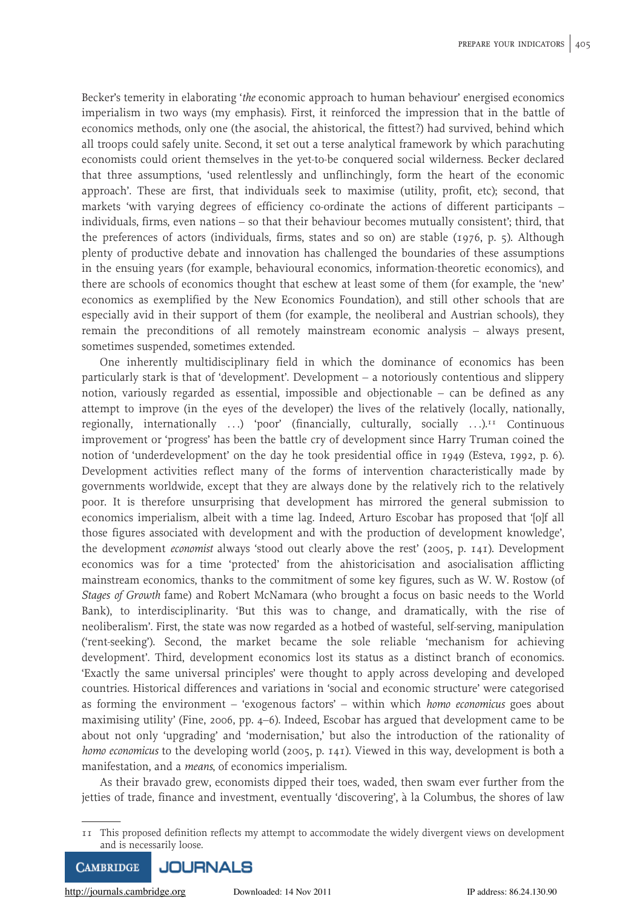Becker's temerity in elaborating 'the economic approach to human behaviour' energised economics imperialism in two ways (my emphasis). First, it reinforced the impression that in the battle of economics methods, only one (the asocial, the ahistorical, the fittest?) had survived, behind which all troops could safely unite. Second, it set out a terse analytical framework by which parachuting economists could orient themselves in the yet-to-be conquered social wilderness. Becker declared that three assumptions, 'used relentlessly and unflinchingly, form the heart of the economic approach'. These are first, that individuals seek to maximise (utility, profit, etc); second, that markets 'with varying degrees of efficiency co-ordinate the actions of different participants – individuals, firms, even nations – so that their behaviour becomes mutually consistent'; third, that the preferences of actors (individuals, firms, states and so on) are stable (1976, p. 5). Although plenty of productive debate and innovation has challenged the boundaries of these assumptions in the ensuing years (for example, behavioural economics, information-theoretic economics), and there are schools of economics thought that eschew at least some of them (for example, the 'new' economics as exemplified by the New Economics Foundation), and still other schools that are especially avid in their support of them (for example, the neoliberal and Austrian schools), they remain the preconditions of all remotely mainstream economic analysis – always present, sometimes suspended, sometimes extended.

One inherently multidisciplinary field in which the dominance of economics has been particularly stark is that of 'development'. Development – a notoriously contentious and slippery notion, variously regarded as essential, impossible and objectionable – can be defined as any attempt to improve (in the eyes of the developer) the lives of the relatively (locally, nationally, regionally, internationally ...) 'poor' (financially, culturally, socially  $\dots$ ).<sup>11</sup> Continuous improvement or 'progress' has been the battle cry of development since Harry Truman coined the notion of 'underdevelopment' on the day he took presidential office in 1949 (Esteva, 1992, p. 6). Development activities reflect many of the forms of intervention characteristically made by governments worldwide, except that they are always done by the relatively rich to the relatively poor. It is therefore unsurprising that development has mirrored the general submission to economics imperialism, albeit with a time lag. Indeed, Arturo Escobar has proposed that '[o]f all those figures associated with development and with the production of development knowledge', the development *economist* always 'stood out clearly above the rest' (2005, p. 141). Development economics was for a time 'protected' from the ahistoricisation and asocialisation afflicting mainstream economics, thanks to the commitment of some key figures, such as W. W. Rostow (of Stages of Growth fame) and Robert McNamara (who brought a focus on basic needs to the World Bank), to interdisciplinarity. 'But this was to change, and dramatically, with the rise of neoliberalism'. First, the state was now regarded as a hotbed of wasteful, self-serving, manipulation ('rent-seeking'). Second, the market became the sole reliable 'mechanism for achieving development'. Third, development economics lost its status as a distinct branch of economics. 'Exactly the same universal principles' were thought to apply across developing and developed countries. Historical differences and variations in 'social and economic structure' were categorised as forming the environment – 'exogenous factors' – within which homo economicus goes about maximising utility' (Fine, 2006, pp. 4–6). Indeed, Escobar has argued that development came to be about not only 'upgrading' and 'modernisation,' but also the introduction of the rationality of homo economicus to the developing world (2005, p. 141). Viewed in this way, development is both a manifestation, and a means, of economics imperialism.

As their bravado grew, economists dipped their toes, waded, then swam ever further from the jetties of trade, finance and investment, eventually 'discovering', à la Columbus, the shores of law

#### **JOURNALS CAMBRIDGE**

<sup>11</sup> This proposed definition reflects my attempt to accommodate the widely divergent views on development and is necessarily loose.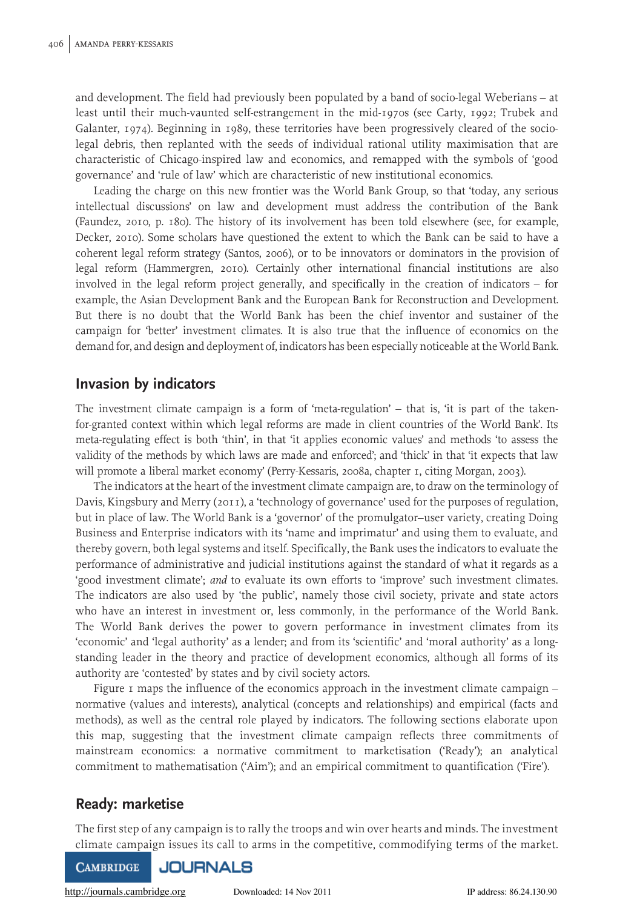and development. The field had previously been populated by a band of socio-legal Weberians – at least until their much-vaunted self-estrangement in the mid-1970s (see Carty, 1992; Trubek and Galanter, 1974). Beginning in 1989, these territories have been progressively cleared of the sociolegal debris, then replanted with the seeds of individual rational utility maximisation that are characteristic of Chicago-inspired law and economics, and remapped with the symbols of 'good governance' and 'rule of law' which are characteristic of new institutional economics.

Leading the charge on this new frontier was the World Bank Group, so that 'today, any serious intellectual discussions' on law and development must address the contribution of the Bank (Faundez, 2010, p. 180). The history of its involvement has been told elsewhere (see, for example, Decker, 2010). Some scholars have questioned the extent to which the Bank can be said to have a coherent legal reform strategy (Santos, 2006), or to be innovators or dominators in the provision of legal reform (Hammergren, 2010). Certainly other international financial institutions are also involved in the legal reform project generally, and specifically in the creation of indicators – for example, the Asian Development Bank and the European Bank for Reconstruction and Development. But there is no doubt that the World Bank has been the chief inventor and sustainer of the campaign for 'better' investment climates. It is also true that the influence of economics on the demand for, and design and deployment of, indicators has been especially noticeable at theWorld Bank.

#### Invasion by indicators

The investment climate campaign is a form of 'meta-regulation' – that is, 'it is part of the takenfor-granted context within which legal reforms are made in client countries of the World Bank'. Its meta-regulating effect is both 'thin', in that 'it applies economic values' and methods 'to assess the validity of the methods by which laws are made and enforced'; and 'thick' in that 'it expects that law will promote a liberal market economy' (Perry-Kessaris, 2008a, chapter 1, citing Morgan, 2003).

The indicators at the heart of the investment climate campaign are, to draw on the terminology of Davis, Kingsbury and Merry (2011), a 'technology of governance' used for the purposes of regulation, but in place of law. The World Bank is a 'governor' of the promulgator–user variety, creating Doing Business and Enterprise indicators with its 'name and imprimatur' and using them to evaluate, and thereby govern, both legal systems and itself. Specifically, the Bank uses the indicators to evaluate the performance of administrative and judicial institutions against the standard of what it regards as a 'good investment climate'; and to evaluate its own efforts to 'improve' such investment climates. The indicators are also used by 'the public', namely those civil society, private and state actors who have an interest in investment or, less commonly, in the performance of the World Bank. The World Bank derives the power to govern performance in investment climates from its 'economic' and 'legal authority' as a lender; and from its 'scientific' and 'moral authority' as a longstanding leader in the theory and practice of development economics, although all forms of its authority are 'contested' by states and by civil society actors.

Figure  $\bar{x}$  maps the influence of the economics approach in the investment climate campaign – normative (values and interests), analytical (concepts and relationships) and empirical (facts and methods), as well as the central role played by indicators. The following sections elaborate upon this map, suggesting that the investment climate campaign reflects three commitments of mainstream economics: a normative commitment to marketisation ('Ready'); an analytical commitment to mathematisation ('Aim'); and an empirical commitment to quantification ('Fire').

#### Ready: marketise

The first step of any campaign is to rally the troops and win over hearts and minds. The investment climate campaign issues its call to arms in the competitive, commodifying terms of the market.

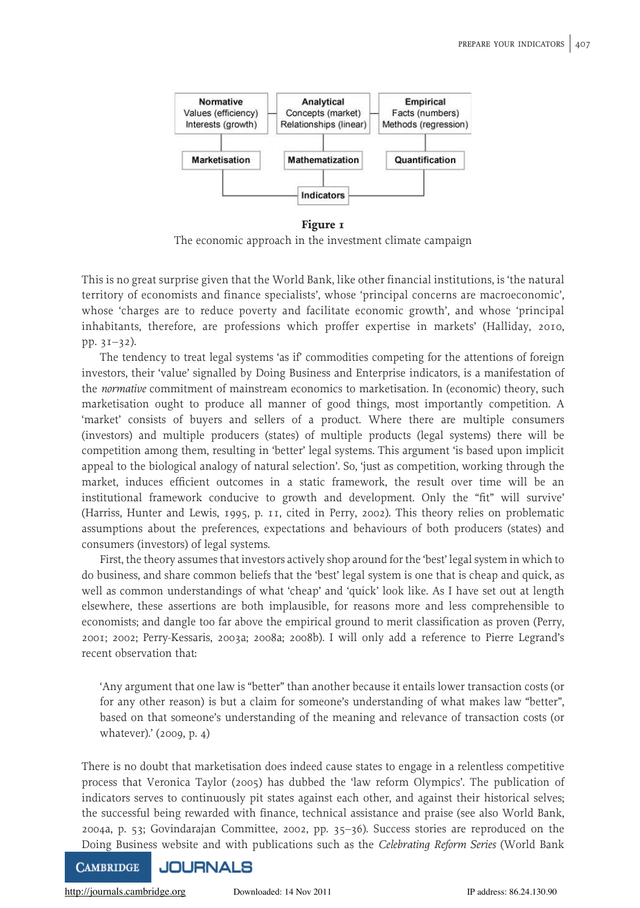

Figure 1 The economic approach in the investment climate campaign

This is no great surprise given that the World Bank, like other financial institutions, is 'the natural territory of economists and finance specialists', whose 'principal concerns are macroeconomic', whose 'charges are to reduce poverty and facilitate economic growth', and whose 'principal inhabitants, therefore, are professions which proffer expertise in markets' (Halliday, 2010, pp. 31–32).

The tendency to treat legal systems 'as if' commodities competing for the attentions of foreign investors, their 'value' signalled by Doing Business and Enterprise indicators, is a manifestation of the normative commitment of mainstream economics to marketisation. In (economic) theory, such marketisation ought to produce all manner of good things, most importantly competition. A 'market' consists of buyers and sellers of a product. Where there are multiple consumers (investors) and multiple producers (states) of multiple products (legal systems) there will be competition among them, resulting in 'better' legal systems. This argument 'is based upon implicit appeal to the biological analogy of natural selection'. So, 'just as competition, working through the market, induces efficient outcomes in a static framework, the result over time will be an institutional framework conducive to growth and development. Only the "fit" will survive' (Harriss, Hunter and Lewis, 1995, p. 11, cited in Perry, 2002). This theory relies on problematic assumptions about the preferences, expectations and behaviours of both producers (states) and consumers (investors) of legal systems.

First, the theory assumes that investors actively shop around for the 'best' legal system in which to do business, and share common beliefs that the 'best' legal system is one that is cheap and quick, as well as common understandings of what 'cheap' and 'quick' look like. As I have set out at length elsewhere, these assertions are both implausible, for reasons more and less comprehensible to economists; and dangle too far above the empirical ground to merit classification as proven (Perry, 2001; 2002; Perry-Kessaris, 2003a; 2008a; 2008b). I will only add a reference to Pierre Legrand's recent observation that:

'Any argument that one law is "better" than another because it entails lower transaction costs (or for any other reason) is but a claim for someone's understanding of what makes law "better", based on that someone's understanding of the meaning and relevance of transaction costs (or whatever).' (2009, p. 4)

There is no doubt that marketisation does indeed cause states to engage in a relentless competitive process that Veronica Taylor (2005) has dubbed the 'law reform Olympics'. The publication of indicators serves to continuously pit states against each other, and against their historical selves; the successful being rewarded with finance, technical assistance and praise (see also World Bank, 2004a, p. 53; Govindarajan Committee, 2002, pp. 35–36). Success stories are reproduced on the Doing Business website and with publications such as the Celebrating Reform Series (World Bank

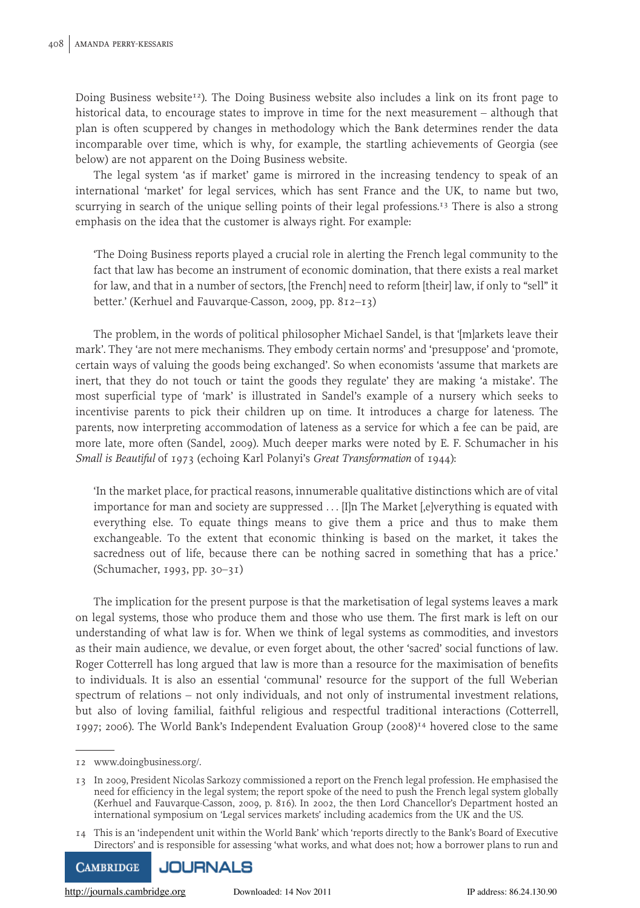Doing Business website<sup>12</sup>). The Doing Business website also includes a link on its front page to historical data, to encourage states to improve in time for the next measurement – although that plan is often scuppered by changes in methodology which the Bank determines render the data incomparable over time, which is why, for example, the startling achievements of Georgia (see below) are not apparent on the Doing Business website.

The legal system 'as if market' game is mirrored in the increasing tendency to speak of an international 'market' for legal services, which has sent France and the UK, to name but two, scurrying in search of the unique selling points of their legal professions.<sup>13</sup> There is also a strong emphasis on the idea that the customer is always right. For example:

'The Doing Business reports played a crucial role in alerting the French legal community to the fact that law has become an instrument of economic domination, that there exists a real market for law, and that in a number of sectors, [the French] need to reform [their] law, if only to "sell" it better.' (Kerhuel and Fauvarque-Casson, 2009, pp. 812–13)

The problem, in the words of political philosopher Michael Sandel, is that '[m]arkets leave their mark'. They 'are not mere mechanisms. They embody certain norms' and 'presuppose' and 'promote, certain ways of valuing the goods being exchanged'. So when economists 'assume that markets are inert, that they do not touch or taint the goods they regulate' they are making 'a mistake'. The most superficial type of 'mark' is illustrated in Sandel's example of a nursery which seeks to incentivise parents to pick their children up on time. It introduces a charge for lateness. The parents, now interpreting accommodation of lateness as a service for which a fee can be paid, are more late, more often (Sandel, 2009). Much deeper marks were noted by E. F. Schumacher in his Small is Beautiful of 1973 (echoing Karl Polanyi's Great Transformation of 1944):

'In the market place, for practical reasons, innumerable qualitative distinctions which are of vital importance for man and society are suppressed ... [I]n The Market [,e]verything is equated with everything else. To equate things means to give them a price and thus to make them exchangeable. To the extent that economic thinking is based on the market, it takes the sacredness out of life, because there can be nothing sacred in something that has a price.' (Schumacher, 1993, pp. 30–31)

The implication for the present purpose is that the marketisation of legal systems leaves a mark on legal systems, those who produce them and those who use them. The first mark is left on our understanding of what law is for. When we think of legal systems as commodities, and investors as their main audience, we devalue, or even forget about, the other 'sacred' social functions of law. Roger Cotterrell has long argued that law is more than a resource for the maximisation of benefits to individuals. It is also an essential 'communal' resource for the support of the full Weberian spectrum of relations – not only individuals, and not only of instrumental investment relations, but also of loving familial, faithful religious and respectful traditional interactions (Cotterrell, 1997; 2006). The World Bank's Independent Evaluation Group (2008)<sup>14</sup> hovered close to the same

<sup>12</sup> www.doingbusiness.org/.

<sup>13</sup> In 2009, President Nicolas Sarkozy commissioned a report on the French legal profession. He emphasised the need for efficiency in the legal system; the report spoke of the need to push the French legal system globally (Kerhuel and Fauvarque-Casson, 2009, p. 816). In 2002, the then Lord Chancellor's Department hosted an international symposium on 'Legal services markets' including academics from the UK and the US.

<sup>14</sup> This is an 'independent unit within the World Bank' which 'reports directly to the Bank's Board of Executive Directors' and is responsible for assessing 'what works, and what does not; how a borrower plans to run and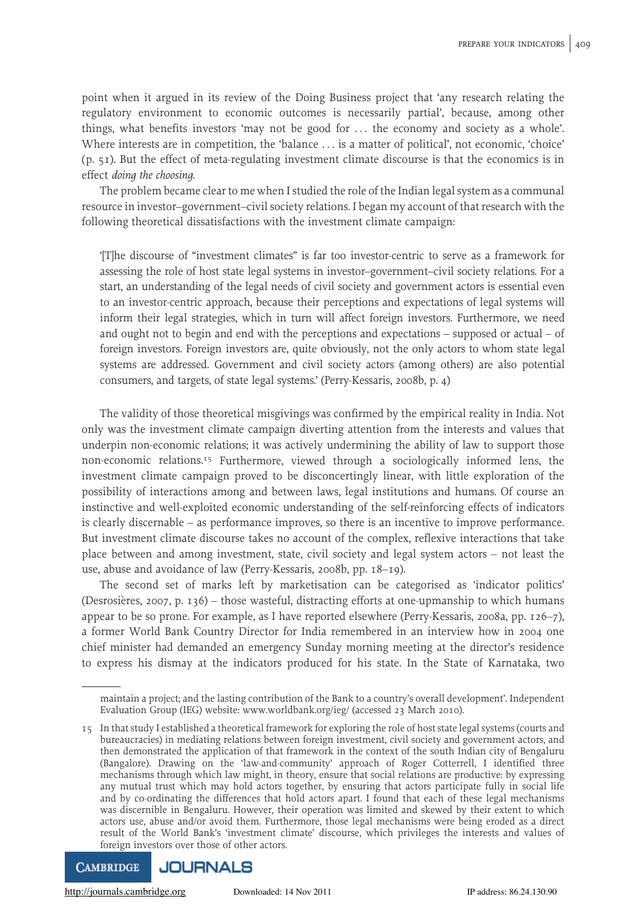point when it argued in its review of the Doing Business project that 'any research relating the regulatory environment to economic outcomes is necessarily partial', because, among other things, what benefits investors 'may not be good for ... the economy and society as a whole'. Where interests are in competition, the 'balance ... is a matter of political', not economic, 'choice' (p. 51). But the effect of meta-regulating investment climate discourse is that the economics is in effect doing the choosing.

The problem became clear to me when I studied the role of the Indian legal system as a communal resource in investor–government–civil society relations. I began my account of that research with the following theoretical dissatisfactions with the investment climate campaign:

'[T]he discourse of "investment climates" is far too investor-centric to serve as a framework for assessing the role of host state legal systems in investor–government–civil society relations. For a start, an understanding of the legal needs of civil society and government actors is essential even to an investor-centric approach, because their perceptions and expectations of legal systems will inform their legal strategies, which in turn will affect foreign investors. Furthermore, we need and ought not to begin and end with the perceptions and expectations  $-$  supposed or actual  $-$  of foreign investors. Foreign investors are, quite obviously, not the only actors to whom state legal systems are addressed. Government and civil society actors (among others) are also potential consumers, and targets, of state legal systems.' (Perry-Kessaris, 2008b, p. 4)

The validity of those theoretical misgivings was confirmed by the empirical reality in India. Not only was the investment climate campaign diverting attention from the interests and values that underpin non-economic relations; it was actively undermining the ability of law to support those non-economic relations.<sup>15</sup> Furthermore, viewed through a sociologically informed lens, the investment climate campaign proved to be disconcertingly linear, with little exploration of the possibility of interactions among and between laws, legal institutions and humans. Of course an instinctive and well-exploited economic understanding of the self-reinforcing effects of indicators is clearly discernable – as performance improves, so there is an incentive to improve performance. But investment climate discourse takes no account of the complex, reflexive interactions that take place between and among investment, state, civil society and legal system actors – not least the use, abuse and avoidance of law (Perry-Kessaris, 2008b, pp. 18–19).

The second set of marks left by marketisation can be categorised as 'indicator politics' (Desrosières, 2007, p. 136) – those wasteful, distracting efforts at one-upmanship to which humans appear to be so prone. For example, as I have reported elsewhere (Perry-Kessaris, 2008a, pp. 126–7), a former World Bank Country Director for India remembered in an interview how in 2004 one chief minister had demanded an emergency Sunday morning meeting at the director's residence to express his dismay at the indicators produced for his state. In the State of Karnataka, two

<sup>15</sup> In that study I established a theoretical framework for exploring the role of host state legal systems (courts and bureaucracies) in mediating relations between foreign investment, civil society and government actors, and then demonstrated the application of that framework in the context of the south Indian city of Bengaluru (Bangalore). Drawing on the 'law-and-community' approach of Roger Cotterrell, I identified three mechanisms through which law might, in theory, ensure that social relations are productive: by expressing any mutual trust which may hold actors together, by ensuring that actors participate fully in social life and by co-ordinating the differences that hold actors apart. I found that each of these legal mechanisms was discernible in Bengaluru. However, their operation was limited and skewed by their extent to which actors use, abuse and/or avoid them. Furthermore, those legal mechanisms were being eroded as a direct result of the World Bank's 'investment climate' discourse, which privileges the interests and values of foreign investors over those of other actors.



maintain a project; and the lasting contribution of the Bank to a country's overall development'. Independent Evaluation Group (IEG) website: www.worldbank.org/ieg/ (accessed 23 March 2010).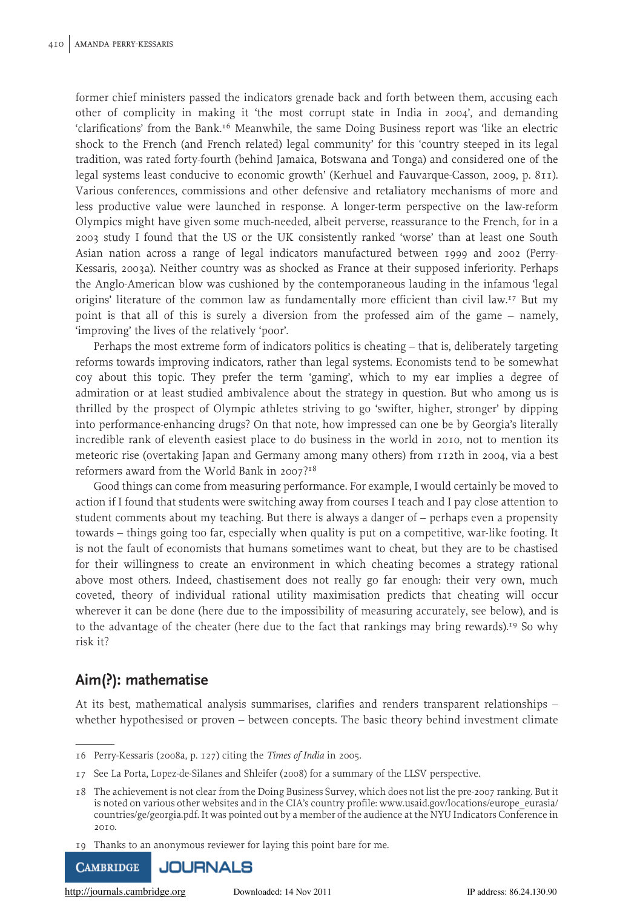former chief ministers passed the indicators grenade back and forth between them, accusing each other of complicity in making it 'the most corrupt state in India in 2004', and demanding 'clarifications' from the Bank.<sup>16</sup> Meanwhile, the same Doing Business report was 'like an electric shock to the French (and French related) legal community' for this 'country steeped in its legal tradition, was rated forty-fourth (behind Jamaica, Botswana and Tonga) and considered one of the legal systems least conducive to economic growth' (Kerhuel and Fauvarque-Casson, 2009, p. 811). Various conferences, commissions and other defensive and retaliatory mechanisms of more and less productive value were launched in response. A longer-term perspective on the law-reform Olympics might have given some much-needed, albeit perverse, reassurance to the French, for in a 2003 study I found that the US or the UK consistently ranked 'worse' than at least one South Asian nation across a range of legal indicators manufactured between 1999 and 2002 (Perry-Kessaris, 2003a). Neither country was as shocked as France at their supposed inferiority. Perhaps the Anglo-American blow was cushioned by the contemporaneous lauding in the infamous 'legal origins' literature of the common law as fundamentally more efficient than civil law.<sup>17</sup> But my point is that all of this is surely a diversion from the professed aim of the game – namely, 'improving' the lives of the relatively 'poor'.

Perhaps the most extreme form of indicators politics is cheating – that is, deliberately targeting reforms towards improving indicators, rather than legal systems. Economists tend to be somewhat coy about this topic. They prefer the term 'gaming', which to my ear implies a degree of admiration or at least studied ambivalence about the strategy in question. But who among us is thrilled by the prospect of Olympic athletes striving to go 'swifter, higher, stronger' by dipping into performance-enhancing drugs? On that note, how impressed can one be by Georgia's literally incredible rank of eleventh easiest place to do business in the world in 2010, not to mention its meteoric rise (overtaking Japan and Germany among many others) from 112th in 2004, via a best reformers award from the World Bank in 2007?<sup>18</sup>

Good things can come from measuring performance. For example, I would certainly be moved to action if I found that students were switching away from courses I teach and I pay close attention to student comments about my teaching. But there is always a danger of – perhaps even a propensity towards – things going too far, especially when quality is put on a competitive, war-like footing. It is not the fault of economists that humans sometimes want to cheat, but they are to be chastised for their willingness to create an environment in which cheating becomes a strategy rational above most others. Indeed, chastisement does not really go far enough: their very own, much coveted, theory of individual rational utility maximisation predicts that cheating will occur wherever it can be done (here due to the impossibility of measuring accurately, see below), and is to the advantage of the cheater (here due to the fact that rankings may bring rewards).<sup>19</sup> So why risk it?

#### Aim(?): mathematise

At its best, mathematical analysis summarises, clarifies and renders transparent relationships – whether hypothesised or proven – between concepts. The basic theory behind investment climate

<sup>16</sup> Perry-Kessaris (2008a, p. 127) citing the Times of India in 2005.

<sup>17</sup> See La Porta, Lopez-de-Silanes and Shleifer (2008) for a summary of the LLSV perspective.

<sup>18</sup> The achievement is not clear from the Doing Business Survey, which does not list the pre-2007 ranking. But it is noted on various other websites and in the CIA's country profile: www.usaid.gov/locations/europe\_eurasia/ countries/ge/georgia.pdf. It was pointed out by a member of the audience at the NYU Indicators Conference in 2010.

<sup>19</sup> Thanks to an anonymous reviewer for laying this point bare for me.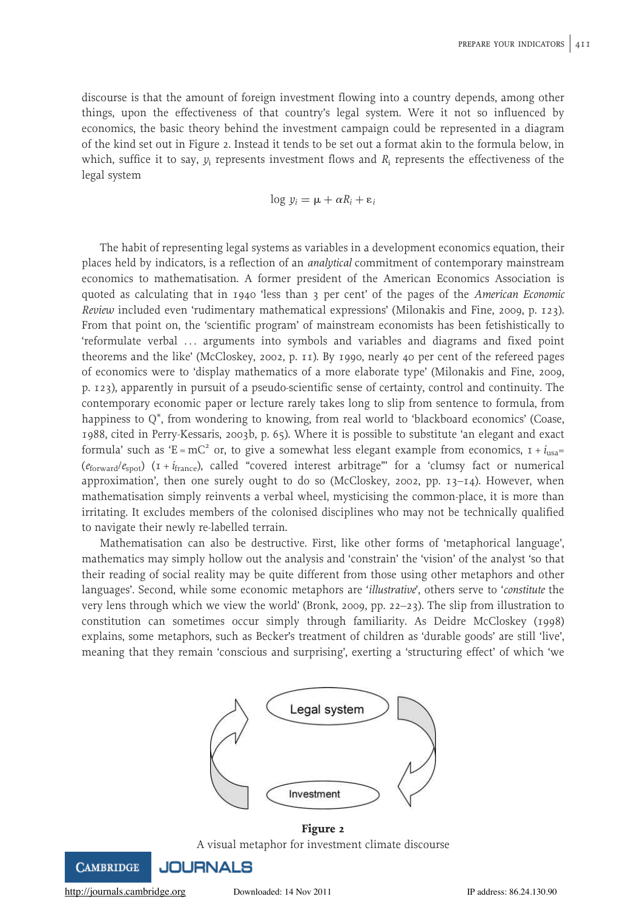discourse is that the amount of foreign investment flowing into a country depends, among other things, upon the effectiveness of that country's legal system. Were it not so influenced by economics, the basic theory behind the investment campaign could be represented in a diagram of the kind set out in Figure 2. Instead it tends to be set out a format akin to the formula below, in which, suffice it to say,  $v_i$  represents investment flows and  $R_i$  represents the effectiveness of the legal system

 $\log v_i = \mu + \alpha R_i + \varepsilon_i$ 

The habit of representing legal systems as variables in a development economics equation, their places held by indicators, is a reflection of an analytical commitment of contemporary mainstream economics to mathematisation. A former president of the American Economics Association is quoted as calculating that in 1940 'less than 3 per cent' of the pages of the American Economic Review included even 'rudimentary mathematical expressions' (Milonakis and Fine, 2009, p. 123). From that point on, the 'scientific program' of mainstream economists has been fetishistically to 'reformulate verbal ... arguments into symbols and variables and diagrams and fixed point theorems and the like' (McCloskey, 2002, p. 11). By 1990, nearly 40 per cent of the refereed pages of economics were to 'display mathematics of a more elaborate type' (Milonakis and Fine, 2009, p. 123), apparently in pursuit of a pseudo-scientific sense of certainty, control and continuity. The contemporary economic paper or lecture rarely takes long to slip from sentence to formula, from happiness to Q\*, from wondering to knowing, from real world to 'blackboard economics' (Coase, 1988, cited in Perry-Kessaris, 2003b, p. 65). Where it is possible to substitute 'an elegant and exact formula' such as 'E = mC<sup>2</sup> or, to give a somewhat less elegant example from economics,  $I + i_{\text{usa}} =$  $(e_{forward}/e_{spot})$  (1 +  $i_{frame}$ ), called "covered interest arbitrage" for a 'clumsy fact or numerical approximation', then one surely ought to do so (McCloskey, 2002, pp. 13–14). However, when mathematisation simply reinvents a verbal wheel, mysticising the common-place, it is more than irritating. It excludes members of the colonised disciplines who may not be technically qualified to navigate their newly re-labelled terrain.

Mathematisation can also be destructive. First, like other forms of 'metaphorical language', mathematics may simply hollow out the analysis and 'constrain' the 'vision' of the analyst 'so that their reading of social reality may be quite different from those using other metaphors and other languages'. Second, while some economic metaphors are 'illustrative', others serve to 'constitute the very lens through which we view the world' (Bronk, 2009, pp. 22–23). The slip from illustration to constitution can sometimes occur simply through familiarity. As Deidre McCloskey (1998) explains, some metaphors, such as Becker's treatment of children as 'durable goods' are still 'live', meaning that they remain 'conscious and surprising', exerting a 'structuring effect' of which 'we



Figure 2 A visual metaphor for investment climate discourse



<http://journals.cambridge.org> Downloaded: 14 Nov 2011 IP address: 86.24.130.90

**JOURNALS**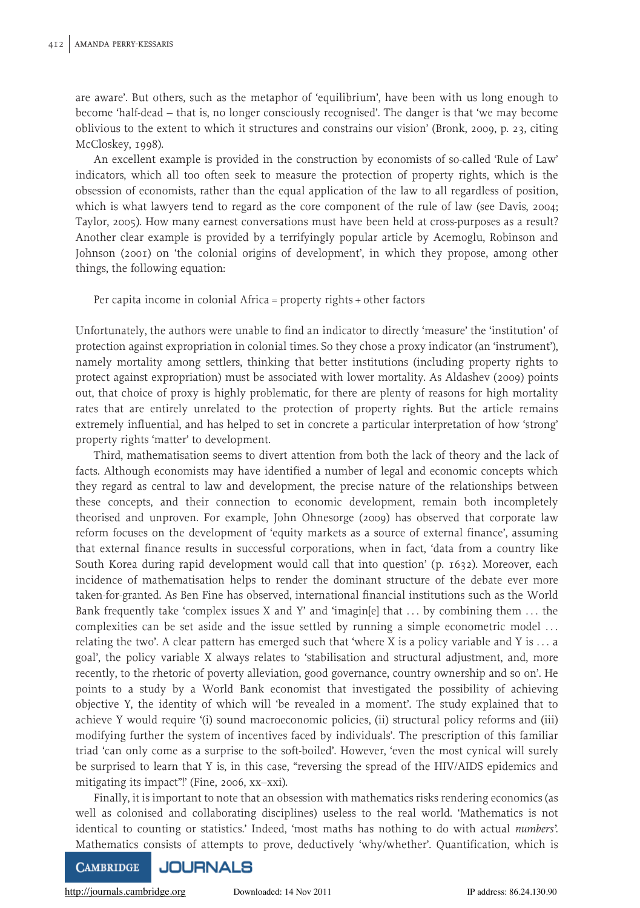are aware'. But others, such as the metaphor of 'equilibrium', have been with us long enough to become 'half-dead – that is, no longer consciously recognised'. The danger is that 'we may become oblivious to the extent to which it structures and constrains our vision' (Bronk, 2009, p. 23, citing McCloskey, 1998).

An excellent example is provided in the construction by economists of so-called 'Rule of Law' indicators, which all too often seek to measure the protection of property rights, which is the obsession of economists, rather than the equal application of the law to all regardless of position, which is what lawyers tend to regard as the core component of the rule of law (see Davis, 2004; Taylor, 2005). How many earnest conversations must have been held at cross-purposes as a result? Another clear example is provided by a terrifyingly popular article by Acemoglu, Robinson and Johnson (2001) on 'the colonial origins of development', in which they propose, among other things, the following equation:

Per capita income in colonial Africa = property rights + other factors

Unfortunately, the authors were unable to find an indicator to directly 'measure' the 'institution' of protection against expropriation in colonial times. So they chose a proxy indicator (an 'instrument'), namely mortality among settlers, thinking that better institutions (including property rights to protect against expropriation) must be associated with lower mortality. As Aldashev (2009) points out, that choice of proxy is highly problematic, for there are plenty of reasons for high mortality rates that are entirely unrelated to the protection of property rights. But the article remains extremely influential, and has helped to set in concrete a particular interpretation of how 'strong' property rights 'matter' to development.

Third, mathematisation seems to divert attention from both the lack of theory and the lack of facts. Although economists may have identified a number of legal and economic concepts which they regard as central to law and development, the precise nature of the relationships between these concepts, and their connection to economic development, remain both incompletely theorised and unproven. For example, John Ohnesorge (2009) has observed that corporate law reform focuses on the development of 'equity markets as a source of external finance', assuming that external finance results in successful corporations, when in fact, 'data from a country like South Korea during rapid development would call that into question' (p. 1632). Moreover, each incidence of mathematisation helps to render the dominant structure of the debate ever more taken-for-granted. As Ben Fine has observed, international financial institutions such as the World Bank frequently take 'complex issues X and Y' and 'imagin[e] that  $\ldots$  by combining them  $\ldots$  the complexities can be set aside and the issue settled by running a simple econometric model ... relating the two'. A clear pattern has emerged such that 'where X is a policy variable and Y is ... a goal', the policy variable X always relates to 'stabilisation and structural adjustment, and, more recently, to the rhetoric of poverty alleviation, good governance, country ownership and so on'. He points to a study by a World Bank economist that investigated the possibility of achieving objective Y, the identity of which will 'be revealed in a moment'. The study explained that to achieve Y would require '(i) sound macroeconomic policies, (ii) structural policy reforms and (iii) modifying further the system of incentives faced by individuals'. The prescription of this familiar triad 'can only come as a surprise to the soft-boiled'. However, 'even the most cynical will surely be surprised to learn that Y is, in this case, "reversing the spread of the HIV/AIDS epidemics and mitigating its impact"!' (Fine, 2006, xx–xxi).

Finally, it is important to note that an obsession with mathematics risks rendering economics (as well as colonised and collaborating disciplines) useless to the real world. 'Mathematics is not identical to counting or statistics.' Indeed, 'most maths has nothing to do with actual numbers'. Mathematics consists of attempts to prove, deductively 'why/whether'. Quantification, which is

**CAMBRIDGE JOURNALS**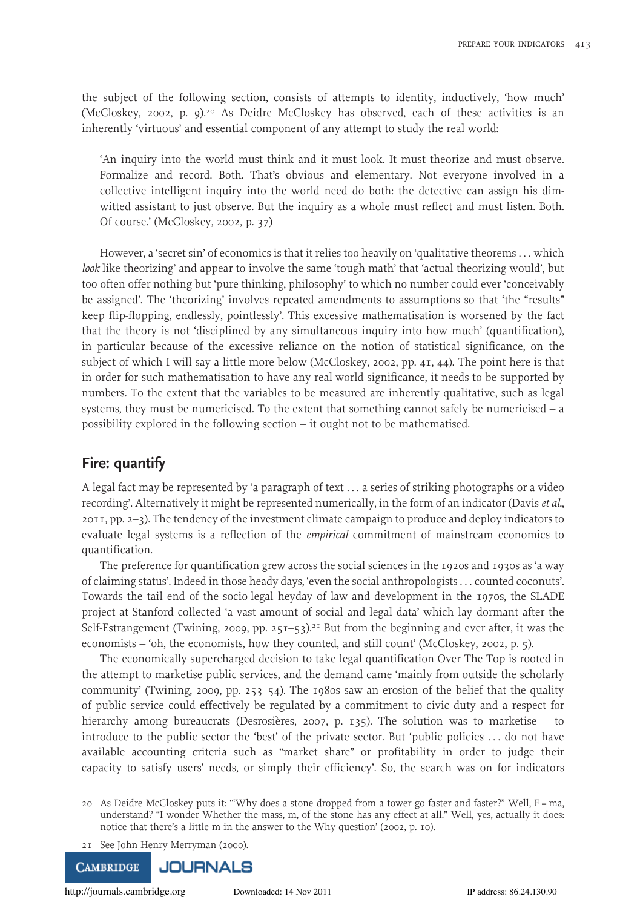the subject of the following section, consists of attempts to identity, inductively, 'how much' (McCloskey, 2002, p. 9).<sup>20</sup> As Deidre McCloskey has observed, each of these activities is an inherently 'virtuous' and essential component of any attempt to study the real world:

'An inquiry into the world must think and it must look. It must theorize and must observe. Formalize and record. Both. That's obvious and elementary. Not everyone involved in a collective intelligent inquiry into the world need do both: the detective can assign his dimwitted assistant to just observe. But the inquiry as a whole must reflect and must listen. Both. Of course.' (McCloskey, 2002, p. 37)

However, a 'secret sin' of economics is that it relies too heavily on 'qualitative theorems . . . which look like theorizing' and appear to involve the same 'tough math' that 'actual theorizing would', but too often offer nothing but 'pure thinking, philosophy' to which no number could ever 'conceivably be assigned'. The 'theorizing' involves repeated amendments to assumptions so that 'the "results" keep flip-flopping, endlessly, pointlessly'. This excessive mathematisation is worsened by the fact that the theory is not 'disciplined by any simultaneous inquiry into how much' (quantification), in particular because of the excessive reliance on the notion of statistical significance, on the subject of which I will say a little more below (McCloskey, 2002, pp. 41, 44). The point here is that in order for such mathematisation to have any real-world significance, it needs to be supported by numbers. To the extent that the variables to be measured are inherently qualitative, such as legal systems, they must be numericised. To the extent that something cannot safely be numericised – a possibility explored in the following section – it ought not to be mathematised.

### Fire: quantify

A legal fact may be represented by 'a paragraph of text ... a series of striking photographs or a video recording'. Alternatively it might be represented numerically, in the form of an indicator (Davis et al., 2011, pp. 2–3). The tendency of the investment climate campaign to produce and deploy indicators to evaluate legal systems is a reflection of the empirical commitment of mainstream economics to quantification.

The preference for quantification grew across the social sciences in the 1920s and 1930s as 'a way of claiming status'. Indeed in those heady days, 'even the social anthropologists... counted coconuts'. Towards the tail end of the socio-legal heyday of law and development in the 1970s, the SLADE project at Stanford collected 'a vast amount of social and legal data' which lay dormant after the Self-Estrangement (Twining, 2009, pp. 251–53).<sup>21</sup> But from the beginning and ever after, it was the economists – 'oh, the economists, how they counted, and still count' (McCloskey, 2002, p. 5).

The economically supercharged decision to take legal quantification Over The Top is rooted in the attempt to marketise public services, and the demand came 'mainly from outside the scholarly community' (Twining, 2009, pp. 253–54). The 1980s saw an erosion of the belief that the quality of public service could effectively be regulated by a commitment to civic duty and a respect for hierarchy among bureaucrats (Desrosières, 2007, p. 135). The solution was to marketise – to introduce to the public sector the 'best' of the private sector. But 'public policies . . . do not have available accounting criteria such as "market share" or profitability in order to judge their capacity to satisfy users' needs, or simply their efficiency'. So, the search was on for indicators

**JOURNALS** 

<sup>20</sup> As Deidre McCloskey puts it: ""Why does a stone dropped from a tower go faster and faster?" Well, F = ma, understand? "I wonder Whether the mass, m, of the stone has any effect at all." Well, yes, actually it does: notice that there's a little m in the answer to the Why question' (2002, p. 10).

<sup>21</sup> See John Henry Merryman (2000).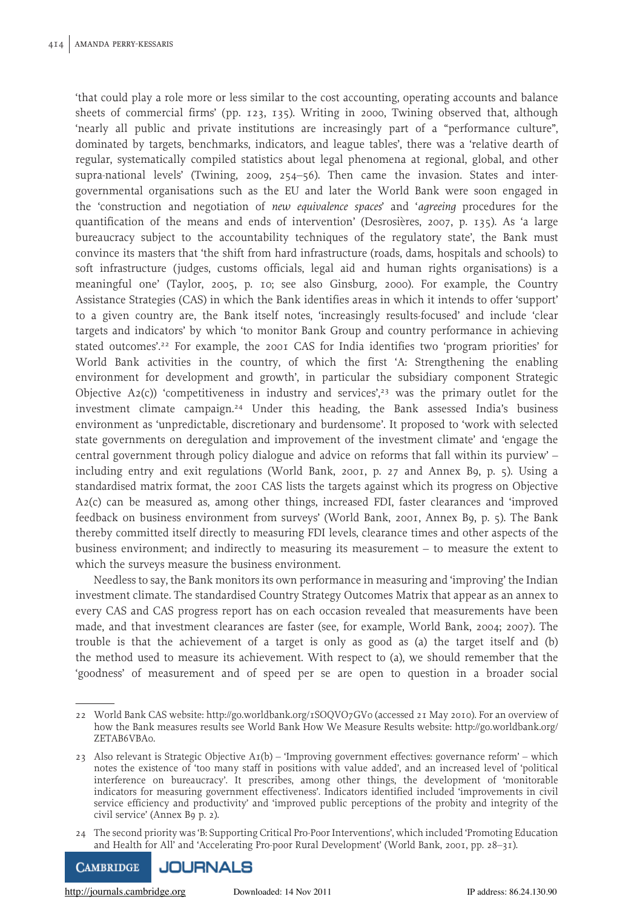'that could play a role more or less similar to the cost accounting, operating accounts and balance sheets of commercial firms' (pp. 123, 135). Writing in 2000, Twining observed that, although 'nearly all public and private institutions are increasingly part of a "performance culture", dominated by targets, benchmarks, indicators, and league tables', there was a 'relative dearth of regular, systematically compiled statistics about legal phenomena at regional, global, and other supra-national levels' (Twining, 2009, 254–56). Then came the invasion. States and intergovernmental organisations such as the EU and later the World Bank were soon engaged in the 'construction and negotiation of new equivalence spaces' and 'agreeing procedures for the quantification of the means and ends of intervention' (Desrosières, 2007, p. 135). As 'a large bureaucracy subject to the accountability techniques of the regulatory state', the Bank must convince its masters that 'the shift from hard infrastructure (roads, dams, hospitals and schools) to soft infrastructure (judges, customs officials, legal aid and human rights organisations) is a meaningful one' (Taylor, 2005, p. 10; see also Ginsburg, 2000). For example, the Country Assistance Strategies (CAS) in which the Bank identifies areas in which it intends to offer 'support' to a given country are, the Bank itself notes, 'increasingly results-focused' and include 'clear targets and indicators' by which 'to monitor Bank Group and country performance in achieving stated outcomes'. <sup>22</sup> For example, the 2001 CAS for India identifies two 'program priorities' for World Bank activities in the country, of which the first 'A: Strengthening the enabling environment for development and growth', in particular the subsidiary component Strategic Objective A2(c)) 'competitiveness in industry and services',<sup>23</sup> was the primary outlet for the investment climate campaign.<sup>24</sup> Under this heading, the Bank assessed India's business environment as 'unpredictable, discretionary and burdensome'. It proposed to 'work with selected state governments on deregulation and improvement of the investment climate' and 'engage the central government through policy dialogue and advice on reforms that fall within its purview' – including entry and exit regulations (World Bank, 2001, p. 27 and Annex B9, p. 5). Using a standardised matrix format, the 2001 CAS lists the targets against which its progress on Objective A2(c) can be measured as, among other things, increased FDI, faster clearances and 'improved feedback on business environment from surveys' (World Bank, 2001, Annex B9, p. 5). The Bank thereby committed itself directly to measuring FDI levels, clearance times and other aspects of the business environment; and indirectly to measuring its measurement – to measure the extent to which the surveys measure the business environment.

Needless to say, the Bank monitors its own performance in measuring and 'improving' the Indian investment climate. The standardised Country Strategy Outcomes Matrix that appear as an annex to every CAS and CAS progress report has on each occasion revealed that measurements have been made, and that investment clearances are faster (see, for example, World Bank, 2004; 2007). The trouble is that the achievement of a target is only as good as (a) the target itself and (b) the method used to measure its achievement. With respect to (a), we should remember that the 'goodness' of measurement and of speed per se are open to question in a broader social

<sup>22</sup> World Bank CAS website: http://go.worldbank.org/1SOQVO7GV0 (accessed 21 May 2010). For an overview of how the Bank measures results see World Bank How We Measure Results website: http://go.worldbank.org/ ZETAB6VBA0.

<sup>23</sup> Also relevant is Strategic Objective  $Ar(b)$  – 'Improving government effectives: governance reform' – which notes the existence of 'too many staff in positions with value added', and an increased level of 'political interference on bureaucracy'. It prescribes, among other things, the development of 'monitorable indicators for measuring government effectiveness'. Indicators identified included 'improvements in civil service efficiency and productivity' and 'improved public perceptions of the probity and integrity of the civil service' (Annex B9 p. 2).

<sup>24</sup> The second priority was 'B: Supporting Critical Pro-Poor Interventions', which included 'Promoting Education and Health for All' and 'Accelerating Pro-poor Rural Development' (World Bank, 2001, pp. 28–31).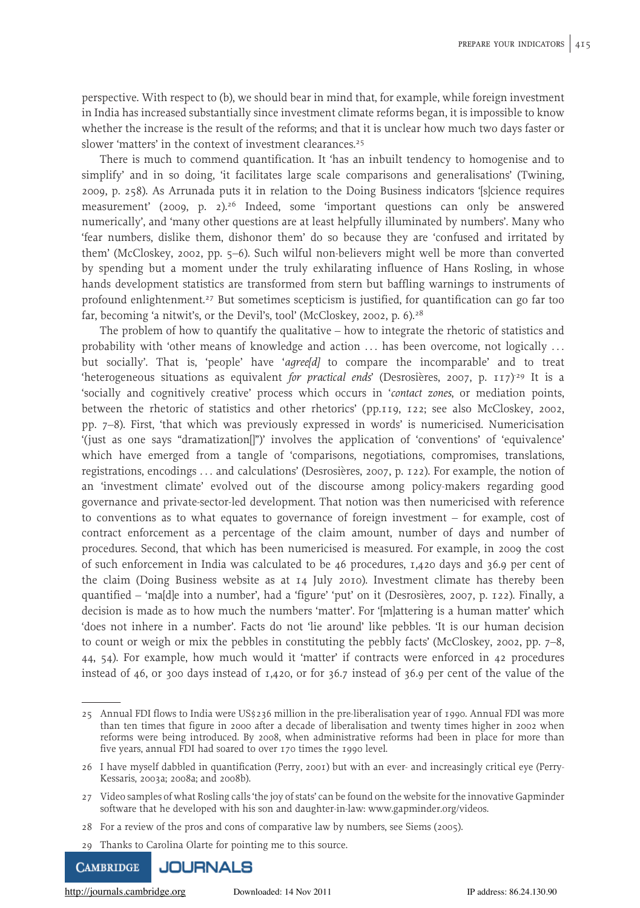perspective. With respect to (b), we should bear in mind that, for example, while foreign investment in India has increased substantially since investment climate reforms began, it is impossible to know whether the increase is the result of the reforms; and that it is unclear how much two days faster or slower 'matters' in the context of investment clearances.<sup>25</sup>

There is much to commend quantification. It 'has an inbuilt tendency to homogenise and to simplify' and in so doing, 'it facilitates large scale comparisons and generalisations' (Twining, 2009, p. 258). As Arrunada puts it in relation to the Doing Business indicators '[s]cience requires measurement' (2009, p.  $2$ ).<sup>26</sup> Indeed, some 'important questions can only be answered numerically', and 'many other questions are at least helpfully illuminated by numbers'. Many who 'fear numbers, dislike them, dishonor them' do so because they are 'confused and irritated by them' (McCloskey, 2002, pp. 5–6). Such wilful non-believers might well be more than converted by spending but a moment under the truly exhilarating influence of Hans Rosling, in whose hands development statistics are transformed from stern but baffling warnings to instruments of profound enlightenment.<sup>27</sup> But sometimes scepticism is justified, for quantification can go far too far, becoming 'a nitwit's, or the Devil's, tool' (McCloskey, 2002, p. 6).<sup>28</sup>

The problem of how to quantify the qualitative – how to integrate the rhetoric of statistics and probability with 'other means of knowledge and action ... has been overcome, not logically ... but socially'. That is, 'people' have 'agree[d] to compare the incomparable' and to treat 'heterogeneous situations as equivalent *for practical ends*' (Desrosières, 2007, p. 117)<sup>29</sup> It is a 'socially and cognitively creative' process which occurs in 'contact zones, or mediation points, between the rhetoric of statistics and other rhetorics' (pp.119, 122; see also McCloskey, 2002, pp. 7–8). First, 'that which was previously expressed in words' is numericised. Numericisation '(just as one says "dramatization[]")' involves the application of 'conventions' of 'equivalence' which have emerged from a tangle of 'comparisons, negotiations, compromises, translations, registrations, encodings ... and calculations' (Desrosières, 2007, p. 122). For example, the notion of an 'investment climate' evolved out of the discourse among policy-makers regarding good governance and private-sector-led development. That notion was then numericised with reference to conventions as to what equates to governance of foreign investment – for example, cost of contract enforcement as a percentage of the claim amount, number of days and number of procedures. Second, that which has been numericised is measured. For example, in 2009 the cost of such enforcement in India was calculated to be 46 procedures, 1,420 days and 36.9 per cent of the claim (Doing Business website as at 14 July 2010). Investment climate has thereby been quantified – 'ma[d]e into a number', had a 'figure' 'put' on it (Desrosières, 2007, p. 122). Finally, a decision is made as to how much the numbers 'matter'. For '[m]attering is a human matter' which 'does not inhere in a number'. Facts do not 'lie around' like pebbles. 'It is our human decision to count or weigh or mix the pebbles in constituting the pebbly facts' (McCloskey, 2002, pp. 7–8, 44, 54). For example, how much would it 'matter' if contracts were enforced in 42 procedures instead of 46, or 300 days instead of 1,420, or for 36.7 instead of 36.9 per cent of the value of the

<sup>25</sup> Annual FDI flows to India were US\$236 million in the pre-liberalisation year of 1990. Annual FDI was more than ten times that figure in 2000 after a decade of liberalisation and twenty times higher in 2002 when reforms were being introduced. By 2008, when administrative reforms had been in place for more than five years, annual FDI had soared to over 170 times the 1990 level.

<sup>26</sup> I have myself dabbled in quantification (Perry, 2001) but with an ever- and increasingly critical eye (Perry-Kessaris, 2003a; 2008a; and 2008b).

<sup>27</sup> Video samples of what Rosling calls'the joy of stats' can be found on the website for the innovative Gapminder software that he developed with his son and daughter-in-law: www.gapminder.org/videos.

<sup>28</sup> For a review of the pros and cons of comparative law by numbers, see Siems (2005).

<sup>29</sup> Thanks to Carolina Olarte for pointing me to this source.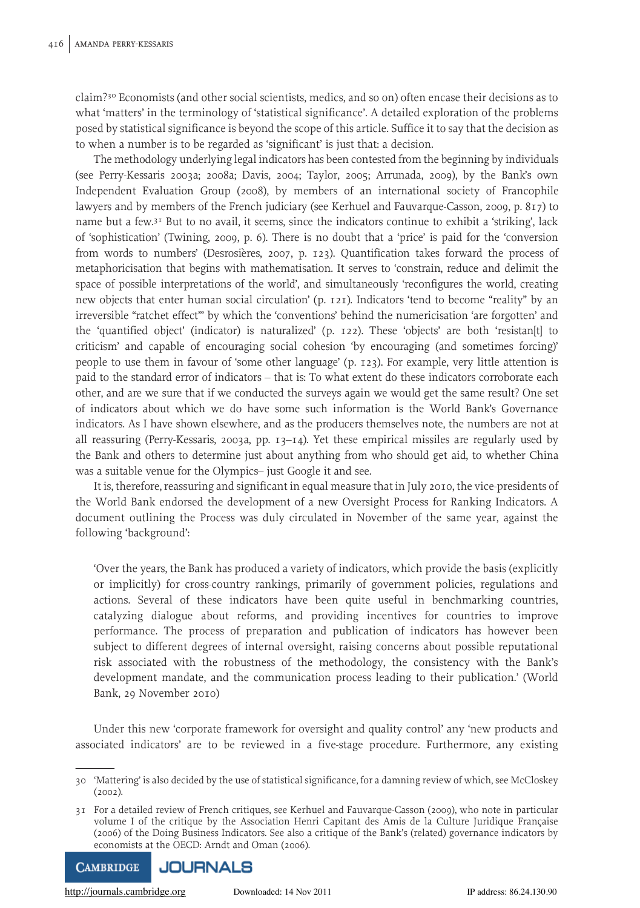claim?<sup>30</sup> Economists (and other social scientists, medics, and so on) often encase their decisions as to what 'matters' in the terminology of 'statistical significance'. A detailed exploration of the problems posed by statistical significance is beyond the scope of this article. Suffice it to say that the decision as to when a number is to be regarded as 'significant' is just that: a decision.

The methodology underlying legal indicators has been contested from the beginning by individuals (see Perry-Kessaris 2003a; 2008a; Davis, 2004; Taylor, 2005; Arrunada, 2009), by the Bank's own Independent Evaluation Group (2008), by members of an international society of Francophile lawyers and by members of the French judiciary (see Kerhuel and Fauvarque-Casson, 2009, p. 817) to name but a few.<sup>31</sup> But to no avail, it seems, since the indicators continue to exhibit a 'striking', lack of 'sophistication' (Twining, 2009, p. 6). There is no doubt that a 'price' is paid for the 'conversion from words to numbers' (Desrosières, 2007, p. 123). Quantification takes forward the process of metaphoricisation that begins with mathematisation. It serves to 'constrain, reduce and delimit the space of possible interpretations of the world', and simultaneously 'reconfigures the world, creating new objects that enter human social circulation' (p. 121). Indicators 'tend to become "reality" by an irreversible "ratchet effect"' by which the 'conventions' behind the numericisation 'are forgotten' and the 'quantified object' (indicator) is naturalized' (p. 122). These 'objects' are both 'resistan[t] to criticism' and capable of encouraging social cohesion 'by encouraging (and sometimes forcing)' people to use them in favour of 'some other language' (p. 123). For example, very little attention is paid to the standard error of indicators – that is: To what extent do these indicators corroborate each other, and are we sure that if we conducted the surveys again we would get the same result? One set of indicators about which we do have some such information is the World Bank's Governance indicators. As I have shown elsewhere, and as the producers themselves note, the numbers are not at all reassuring (Perry-Kessaris, 2003a, pp. 13–14). Yet these empirical missiles are regularly used by the Bank and others to determine just about anything from who should get aid, to whether China was a suitable venue for the Olympics– just Google it and see.

It is, therefore, reassuring and significant in equal measure that in July 2010, the vice-presidents of the World Bank endorsed the development of a new Oversight Process for Ranking Indicators. A document outlining the Process was duly circulated in November of the same year, against the following 'background':

'Over the years, the Bank has produced a variety of indicators, which provide the basis (explicitly or implicitly) for cross-country rankings, primarily of government policies, regulations and actions. Several of these indicators have been quite useful in benchmarking countries, catalyzing dialogue about reforms, and providing incentives for countries to improve performance. The process of preparation and publication of indicators has however been subject to different degrees of internal oversight, raising concerns about possible reputational risk associated with the robustness of the methodology, the consistency with the Bank's development mandate, and the communication process leading to their publication.' (World Bank, 29 November 2010)

Under this new 'corporate framework for oversight and quality control' any 'new products and associated indicators' are to be reviewed in a five-stage procedure. Furthermore, any existing

<sup>31</sup> For a detailed review of French critiques, see Kerhuel and Fauvarque-Casson (2009), who note in particular volume I of the critique by the Association Henri Capitant des Amis de la Culture Juridique Française (2006) of the Doing Business Indicators. See also a critique of the Bank's (related) governance indicators by economists at the OECD: Arndt and Oman (2006).



<sup>30</sup> 'Mattering' is also decided by the use of statistical significance, for a damning review of which, see McCloskey (2002).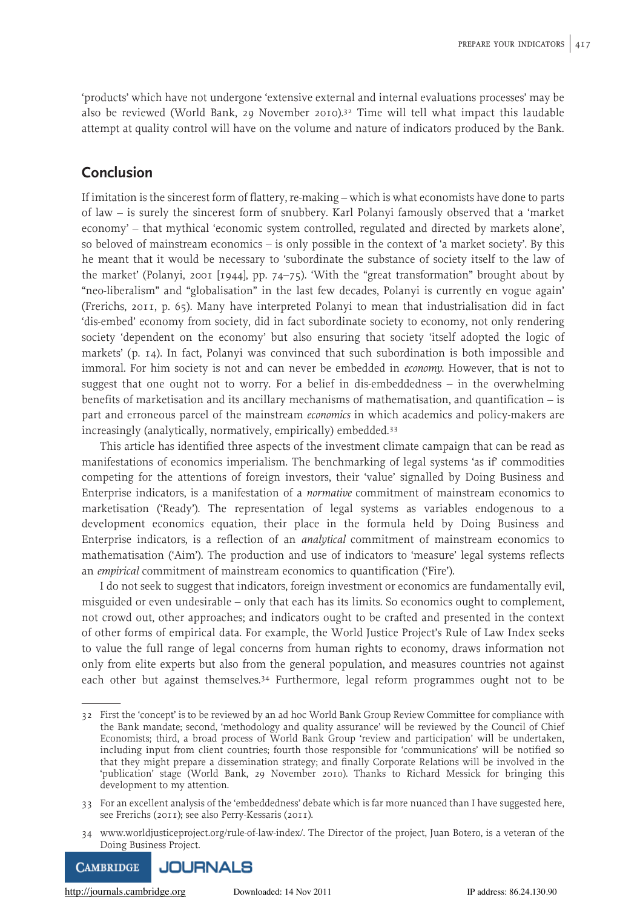'products' which have not undergone 'extensive external and internal evaluations processes' may be also be reviewed (World Bank, 29 November 2010).<sup>32</sup> Time will tell what impact this laudable attempt at quality control will have on the volume and nature of indicators produced by the Bank.

### Conclusion

If imitation is the sincerest form of flattery, re-making – which is what economists have done to parts of law – is surely the sincerest form of snubbery. Karl Polanyi famously observed that a 'market economy' – that mythical 'economic system controlled, regulated and directed by markets alone', so beloved of mainstream economics – is only possible in the context of 'a market society'. By this he meant that it would be necessary to 'subordinate the substance of society itself to the law of the market' (Polanyi, 2001 [1944], pp. 74–75). 'With the "great transformation" brought about by "neo-liberalism" and "globalisation" in the last few decades, Polanyi is currently en vogue again' (Frerichs, 2011, p. 65). Many have interpreted Polanyi to mean that industrialisation did in fact 'dis-embed' economy from society, did in fact subordinate society to economy, not only rendering society 'dependent on the economy' but also ensuring that society 'itself adopted the logic of markets' (p. 14). In fact, Polanyi was convinced that such subordination is both impossible and immoral. For him society is not and can never be embedded in *economy*. However, that is not to suggest that one ought not to worry. For a belief in dis-embeddedness – in the overwhelming benefits of marketisation and its ancillary mechanisms of mathematisation, and quantification – is part and erroneous parcel of the mainstream economics in which academics and policy-makers are increasingly (analytically, normatively, empirically) embedded.<sup>33</sup>

This article has identified three aspects of the investment climate campaign that can be read as manifestations of economics imperialism. The benchmarking of legal systems 'as if' commodities competing for the attentions of foreign investors, their 'value' signalled by Doing Business and Enterprise indicators, is a manifestation of a normative commitment of mainstream economics to marketisation ('Ready'). The representation of legal systems as variables endogenous to a development economics equation, their place in the formula held by Doing Business and Enterprise indicators, is a reflection of an analytical commitment of mainstream economics to mathematisation ('Aim'). The production and use of indicators to 'measure' legal systems reflects an empirical commitment of mainstream economics to quantification ('Fire').

I do not seek to suggest that indicators, foreign investment or economics are fundamentally evil, misguided or even undesirable – only that each has its limits. So economics ought to complement, not crowd out, other approaches; and indicators ought to be crafted and presented in the context of other forms of empirical data. For example, the World Justice Project's Rule of Law Index seeks to value the full range of legal concerns from human rights to economy, draws information not only from elite experts but also from the general population, and measures countries not against each other but against themselves.<sup>34</sup> Furthermore, legal reform programmes ought not to be

<sup>34</sup> www.worldjusticeproject.org/rule-of-law-index/. The Director of the project, Juan Botero, is a veteran of the Doing Business Project.



<http://journals.cambridge.org> Downloaded: 14 Nov 2011 IP address: 86.24.130.90

<sup>32</sup> First the 'concept' is to be reviewed by an ad hoc World Bank Group Review Committee for compliance with the Bank mandate; second, 'methodology and quality assurance' will be reviewed by the Council of Chief Economists; third, a broad process of World Bank Group 'review and participation' will be undertaken, including input from client countries; fourth those responsible for 'communications' will be notified so that they might prepare a dissemination strategy; and finally Corporate Relations will be involved in the 'publication' stage (World Bank, 29 November 2010). Thanks to Richard Messick for bringing this development to my attention.

<sup>33</sup> For an excellent analysis of the 'embeddedness' debate which is far more nuanced than I have suggested here, see Frerichs (2011); see also Perry-Kessaris (2011).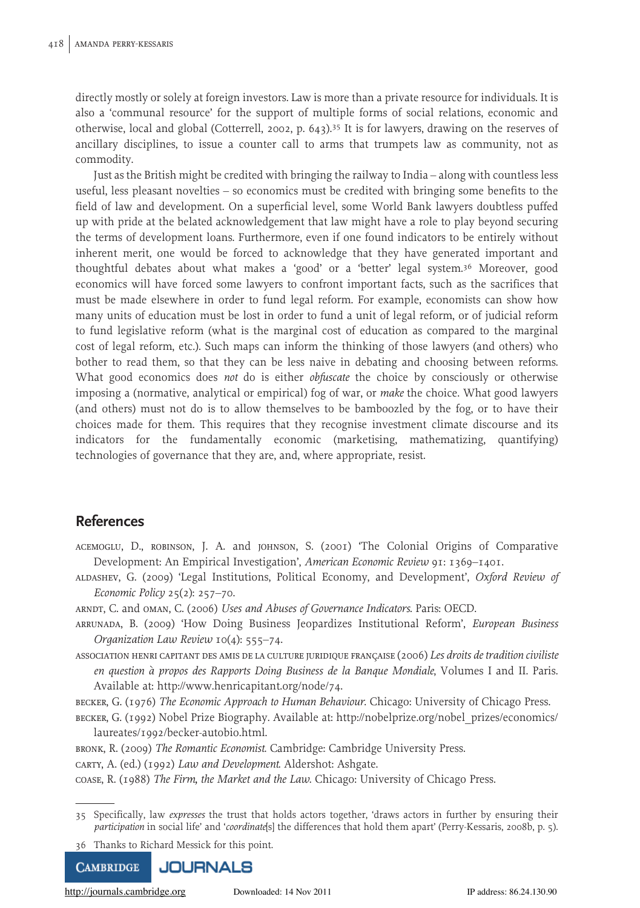directly mostly or solely at foreign investors. Law is more than a private resource for individuals. It is also a 'communal resource' for the support of multiple forms of social relations, economic and otherwise, local and global (Cotterrell, 2002, p. 643).<sup>35</sup> It is for lawyers, drawing on the reserves of ancillary disciplines, to issue a counter call to arms that trumpets law as community, not as commodity.

Just as the British might be credited with bringing the railway to India – along with countless less useful, less pleasant novelties – so economics must be credited with bringing some benefits to the field of law and development. On a superficial level, some World Bank lawyers doubtless puffed up with pride at the belated acknowledgement that law might have a role to play beyond securing the terms of development loans. Furthermore, even if one found indicators to be entirely without inherent merit, one would be forced to acknowledge that they have generated important and thoughtful debates about what makes a 'good' or a 'better' legal system.<sup>36</sup> Moreover, good economics will have forced some lawyers to confront important facts, such as the sacrifices that must be made elsewhere in order to fund legal reform. For example, economists can show how many units of education must be lost in order to fund a unit of legal reform, or of judicial reform to fund legislative reform (what is the marginal cost of education as compared to the marginal cost of legal reform, etc.). Such maps can inform the thinking of those lawyers (and others) who bother to read them, so that they can be less naive in debating and choosing between reforms. What good economics does not do is either *obfuscate* the choice by consciously or otherwise imposing a (normative, analytical or empirical) fog of war, or make the choice. What good lawyers (and others) must not do is to allow themselves to be bamboozled by the fog, or to have their choices made for them. This requires that they recognise investment climate discourse and its indicators for the fundamentally economic (marketising, mathematizing, quantifying) technologies of governance that they are, and, where appropriate, resist.

#### **References**

- acemoglu, D., robinson, J. A. and johnson, S. (2001) 'The Colonial Origins of Comparative Development: An Empirical Investigation', American Economic Review 91: 1369–1401.
- aldashev, G. (2009) 'Legal Institutions, Political Economy, and Development', Oxford Review of Economic Policy 25(2): 257–70.
- ARNDT, C. and OMAN, C. (2006) Uses and Abuses of Governance Indicators. Paris: OECD.
- arrunada, B. (2009) 'How Doing Business Jeopardizes Institutional Reform', European Business Organization Law Review 10(4): 555–74.
- association henri capitant des amis de la culture juridique française (2006) Les droits de tradition civiliste en question à propos des Rapports Doing Business de la Banque Mondiale, Volumes I and II. Paris. Available at: http://www.henricapitant.org/node/74.
- BECKER, G. (1976) The Economic Approach to Human Behaviour. Chicago: University of Chicago Press.
- becker, G. (1992) Nobel Prize Biography. Available at: http://nobelprize.org/nobel\_prizes/economics/ laureates/1992/becker-autobio.html.
- bronk, R. (2009) The Romantic Economist. Cambridge: Cambridge University Press.
- CARTY, A. (ed.) (1992) Law and Development. Aldershot: Ashgate.

coase, R. (1988) The Firm, the Market and the Law. Chicago: University of Chicago Press.

36 Thanks to Richard Messick for this point.

**JOURNALS CAMBRIDGE** 

<sup>35</sup> Specifically, law expresses the trust that holds actors together, 'draws actors in further by ensuring their participation in social life' and 'coordinate[s] the differences that hold them apart' (Perry-Kessaris, 2008b, p. 5).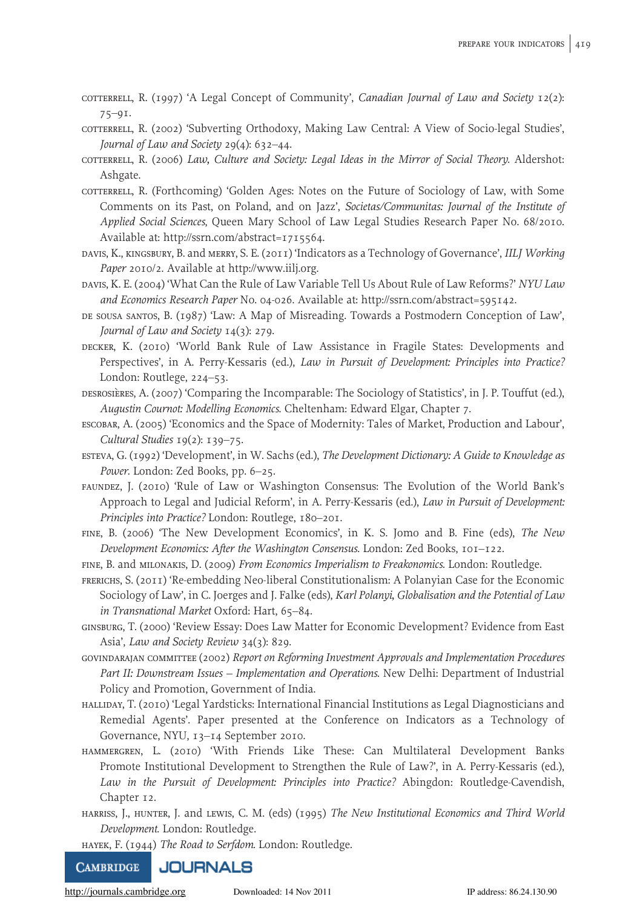- cotterally R. (1997) 'A Legal Concept of Community', Canadian Journal of Law and Society 12(2): 75–91.
- cotterrell, R. (2002) 'Subverting Orthodoxy, Making Law Central: A View of Socio-legal Studies', Journal of Law and Society 29(4): 632–44.

cotterrell, R. (2006) Law, Culture and Society: Legal Ideas in the Mirror of Social Theory. Aldershot: Ashgate.

- cotterrell, R. (Forthcoming) 'Golden Ages: Notes on the Future of Sociology of Law, with Some Comments on its Past, on Poland, and on Jazz', Societas/Communitas: Journal of the Institute of Applied Social Sciences, Queen Mary School of Law Legal Studies Research Paper No. 68/2010. Available at: http://ssrn.com/abstract=1715564.
- davis, K., kingsbury, B. and merry, S. E. (2011) 'Indicators as a Technology of Governance', IILJ Working Paper 2010/2. Available at http://www.iilj.org.
- davis, K. E. (2004) 'What Can the Rule of Law Variable Tell Us About Rule of Law Reforms?' NYU Law and Economics Research Paper No. 04-026. Available at: http://ssrn.com/abstract=595142.
- de sousa santos, B. (1987) 'Law: A Map of Misreading. Towards a Postmodern Conception of Law', Journal of Law and Society 14(3): 279.
- decker, K. (2010) 'World Bank Rule of Law Assistance in Fragile States: Developments and Perspectives', in A. Perry-Kessaris (ed.), Law in Pursuit of Development: Principles into Practice? London: Routlege, 224–53.
- desrosières, A. (2007) 'Comparing the Incomparable: The Sociology of Statistics', in J. P. Touffut (ed.), Augustin Cournot: Modelling Economics. Cheltenham: Edward Elgar, Chapter 7.
- escobar, A. (2005) 'Economics and the Space of Modernity: Tales of Market, Production and Labour', Cultural Studies 19(2): 139–75.
- esteva, G. (1992) 'Development', in W. Sachs (ed.), The Development Dictionary: A Guide to Knowledge as Power. London: Zed Books, pp. 6–25.
- faundez, J. (2010) 'Rule of Law or Washington Consensus: The Evolution of the World Bank's Approach to Legal and Judicial Reform', in A. Perry-Kessaris (ed.), Law in Pursuit of Development: Principles into Practice? London: Routlege, 180–201.
- fine, B. (2006) 'The New Development Economics', in K. S. Jomo and B. Fine (eds), The New Development Economics: After the Washington Consensus. London: Zed Books, 101–122.
- fine, B. and milonakis, D. (2009) From Economics Imperialism to Freakonomics. London: Routledge.
- frerichs, S. (2011) 'Re-embedding Neo-liberal Constitutionalism: A Polanyian Case for the Economic Sociology of Law', in C. Joerges and J. Falke (eds), Karl Polanyi, Globalisation and the Potential of Law in Transnational Market Oxford: Hart, 65–84.
- ginsburg, T. (2000) 'Review Essay: Does Law Matter for Economic Development? Evidence from East Asia', Law and Society Review 34(3): 829.
- govindarajan committee (2002) Report on Reforming Investment Approvals and Implementation Procedures Part II: Downstream Issues - Implementation and Operations. New Delhi: Department of Industrial Policy and Promotion, Government of India.
- halliday, T. (2010) 'Legal Yardsticks: International Financial Institutions as Legal Diagnosticians and Remedial Agents'. Paper presented at the Conference on Indicators as a Technology of Governance, NYU, 13–14 September 2010.
- hammergren, L. (2010) 'With Friends Like These: Can Multilateral Development Banks Promote Institutional Development to Strengthen the Rule of Law?', in A. Perry-Kessaris (ed.), Law in the Pursuit of Development: Principles into Practice? Abingdon: Routledge-Cavendish, Chapter 12.
- harriss, J., hunter, J. and lewis, C. M. (eds) (1995) The New Institutional Economics and Third World Development. London: Routledge.
- hayek, F. (1944) The Road to Serfdom. London: Routledge.

#### **CAMBRIDGE JOURNALS**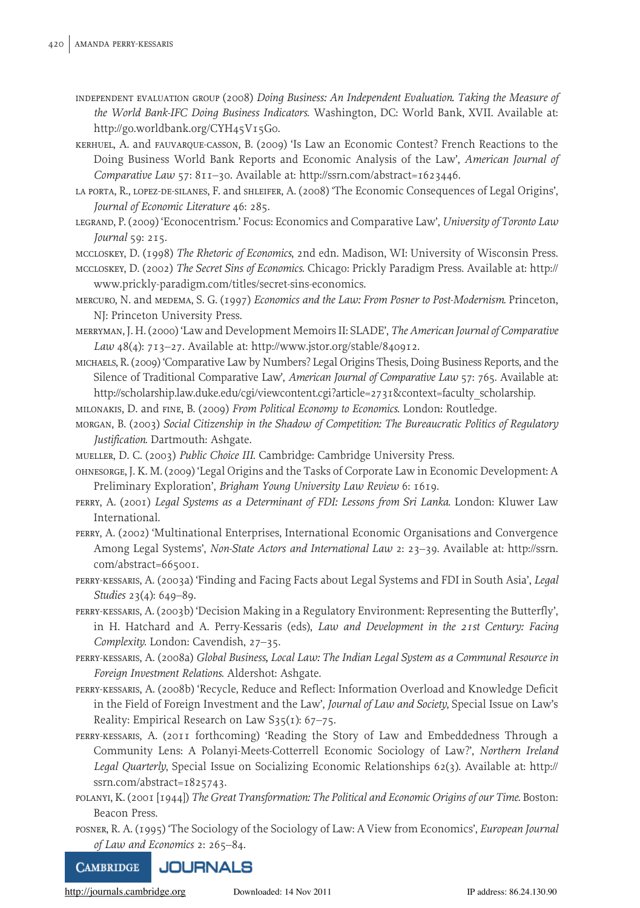- independent evaluation group (2008) Doing Business: An Independent Evaluation. Taking the Measure of the World Bank-IFC Doing Business Indicators. Washington, DC: World Bank, XVII. Available at: http://go.worldbank.org/CYH45V15G0.
- kerhuel, A. and fauvarque-casson, B. (2009) 'Is Law an Economic Contest? French Reactions to the Doing Business World Bank Reports and Economic Analysis of the Law', American Journal of Comparative Law 57: 811–30. Available at: http://ssrn.com/abstract=1623446.
- la porta, R., lopez-de-silanes, F. and shleifer, A. (2008) 'The Economic Consequences of Legal Origins', Journal of Economic Literature 46: 285.
- legrand, P. (2009) 'Econocentrism.' Focus: Economics and Comparative Law', University of Toronto Law Journal 59: 215.
- mccloskey, D. (1998) The Rhetoric of Economics, 2nd edn. Madison, WI: University of Wisconsin Press.
- mccloskey, D. (2002) The Secret Sins of Economics. Chicago: Prickly Paradigm Press. Available at: http:// www.prickly-paradigm.com/titles/secret-sins-economics.
- mercuro, N. and medema, S. G. (1997) Economics and the Law: From Posner to Post-Modernism. Princeton, NJ: Princeton University Press.
- merryman, J. H. (2000) 'Law and Development Memoirs II: SLADE', The American Journal of Comparative Law 48(4): 713–27. Available at: http://www.jstor.org/stable/840912.
- michaels, R. (2009) 'Comparative Law by Numbers? Legal Origins Thesis, Doing Business Reports, and the Silence of Traditional Comparative Law', American Journal of Comparative Law 57: 765. Available at: http://scholarship.law.duke.edu/cgi/viewcontent.cgi?article=2731&context=faculty\_scholarship.
- milonakis, D. and fine, B. (2009) From Political Economy to Economics. London: Routledge.
- morgan, B. (2003) Social Citizenship in the Shadow of Competition: The Bureaucratic Politics of Regulatory Justification. Dartmouth: Ashgate.
- mueller, D. C. (2003) Public Choice III. Cambridge: Cambridge University Press.
- ohnesorge, J. K. M. (2009) 'Legal Origins and the Tasks of Corporate Law in Economic Development: A Preliminary Exploration', Brigham Young University Law Review 6: 1619.
- perry, A. (2001) Legal Systems as a Determinant of FDI: Lessons from Sri Lanka. London: Kluwer Law International.
- perry, A. (2002) 'Multinational Enterprises, International Economic Organisations and Convergence Among Legal Systems', Non-State Actors and International Law 2: 23–39. Available at: http://ssrn. com/abstract=665001.
- perry-kessaris, A. (2003a) 'Finding and Facing Facts about Legal Systems and FDI in South Asia', Legal Studies 23(4): 649–89.
- perry-kessaris, A. (2003b) 'Decision Making in a Regulatory Environment: Representing the Butterfly', in H. Hatchard and A. Perry-Kessaris (eds), Law and Development in the 21st Century: Facing Complexity. London: Cavendish, 27–35.
- perry-kessaris, A. (2008a) Global Business, Local Law: The Indian Legal System as a Communal Resource in Foreign Investment Relations. Aldershot: Ashgate.
- perry-kessaris, A. (2008b) 'Recycle, Reduce and Reflect: Information Overload and Knowledge Deficit in the Field of Foreign Investment and the Law', Journal of Law and Society, Special Issue on Law's Reality: Empirical Research on Law  $S_35(1)$ : 67–75.
- perry-kessaris, A. (2011 forthcoming) 'Reading the Story of Law and Embeddedness Through a Community Lens: A Polanyi-Meets-Cotterrell Economic Sociology of Law?', Northern Ireland Legal Quarterly, Special Issue on Socializing Economic Relationships 62(3). Available at: http:// ssrn.com/abstract=1825743.
- polanyi, K. (2001 [1944]) The Great Transformation: The Political and Economic Origins of our Time. Boston: Beacon Press.
- posner, R. A. (1995) 'The Sociology of the Sociology of Law: A View from Economics', European Journal of Law and Economics 2: 265–84.

#### **CAMBRIDGE JOURNALS**